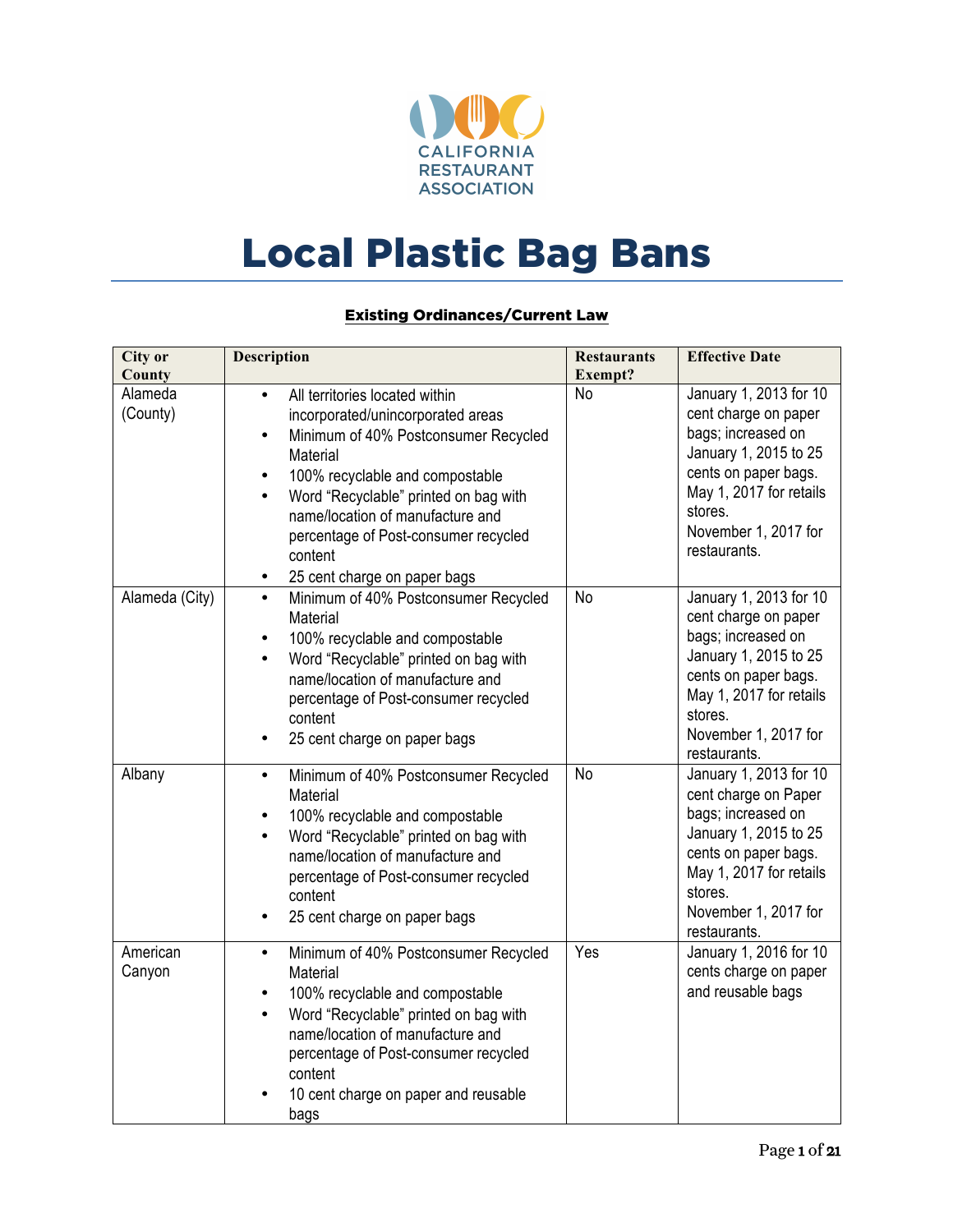

## Local Plastic Bag Bans

## Existing Ordinances/Current Law

| <b>City or</b><br>County | <b>Description</b>                                                                                                                                                                                                                                                                                                                                                                  | <b>Restaurants</b><br>Exempt? | <b>Effective Date</b>                                                                                                                                                                               |
|--------------------------|-------------------------------------------------------------------------------------------------------------------------------------------------------------------------------------------------------------------------------------------------------------------------------------------------------------------------------------------------------------------------------------|-------------------------------|-----------------------------------------------------------------------------------------------------------------------------------------------------------------------------------------------------|
| Alameda<br>(County)      | All territories located within<br>$\bullet$<br>incorporated/unincorporated areas<br>Minimum of 40% Postconsumer Recycled<br>$\bullet$<br>Material<br>100% recyclable and compostable<br>$\bullet$<br>Word "Recyclable" printed on bag with<br>$\bullet$<br>name/location of manufacture and<br>percentage of Post-consumer recycled<br>content<br>25 cent charge on paper bags<br>٠ | <b>No</b>                     | January 1, 2013 for 10<br>cent charge on paper<br>bags; increased on<br>January 1, 2015 to 25<br>cents on paper bags.<br>May 1, 2017 for retails<br>stores.<br>November 1, 2017 for<br>restaurants. |
| Alameda (City)           | Minimum of 40% Postconsumer Recycled<br>$\bullet$<br>Material<br>100% recyclable and compostable<br>$\bullet$<br>Word "Recyclable" printed on bag with<br>$\bullet$<br>name/location of manufacture and<br>percentage of Post-consumer recycled<br>content<br>25 cent charge on paper bags<br>$\bullet$                                                                             | No                            | January 1, 2013 for 10<br>cent charge on paper<br>bags; increased on<br>January 1, 2015 to 25<br>cents on paper bags.<br>May 1, 2017 for retails<br>stores.<br>November 1, 2017 for<br>restaurants. |
| Albany                   | Minimum of 40% Postconsumer Recycled<br>٠<br>Material<br>100% recyclable and compostable<br>$\bullet$<br>Word "Recyclable" printed on bag with<br>$\bullet$<br>name/location of manufacture and<br>percentage of Post-consumer recycled<br>content<br>25 cent charge on paper bags<br>$\bullet$                                                                                     | No                            | January 1, 2013 for 10<br>cent charge on Paper<br>bags; increased on<br>January 1, 2015 to 25<br>cents on paper bags.<br>May 1, 2017 for retails<br>stores.<br>November 1, 2017 for<br>restaurants. |
| American<br>Canyon       | Minimum of 40% Postconsumer Recycled<br>$\bullet$<br>Material<br>100% recyclable and compostable<br>$\bullet$<br>Word "Recyclable" printed on bag with<br>$\bullet$<br>name/location of manufacture and<br>percentage of Post-consumer recycled<br>content<br>10 cent charge on paper and reusable<br>bags                                                                          | Yes                           | January 1, 2016 for 10<br>cents charge on paper<br>and reusable bags                                                                                                                                |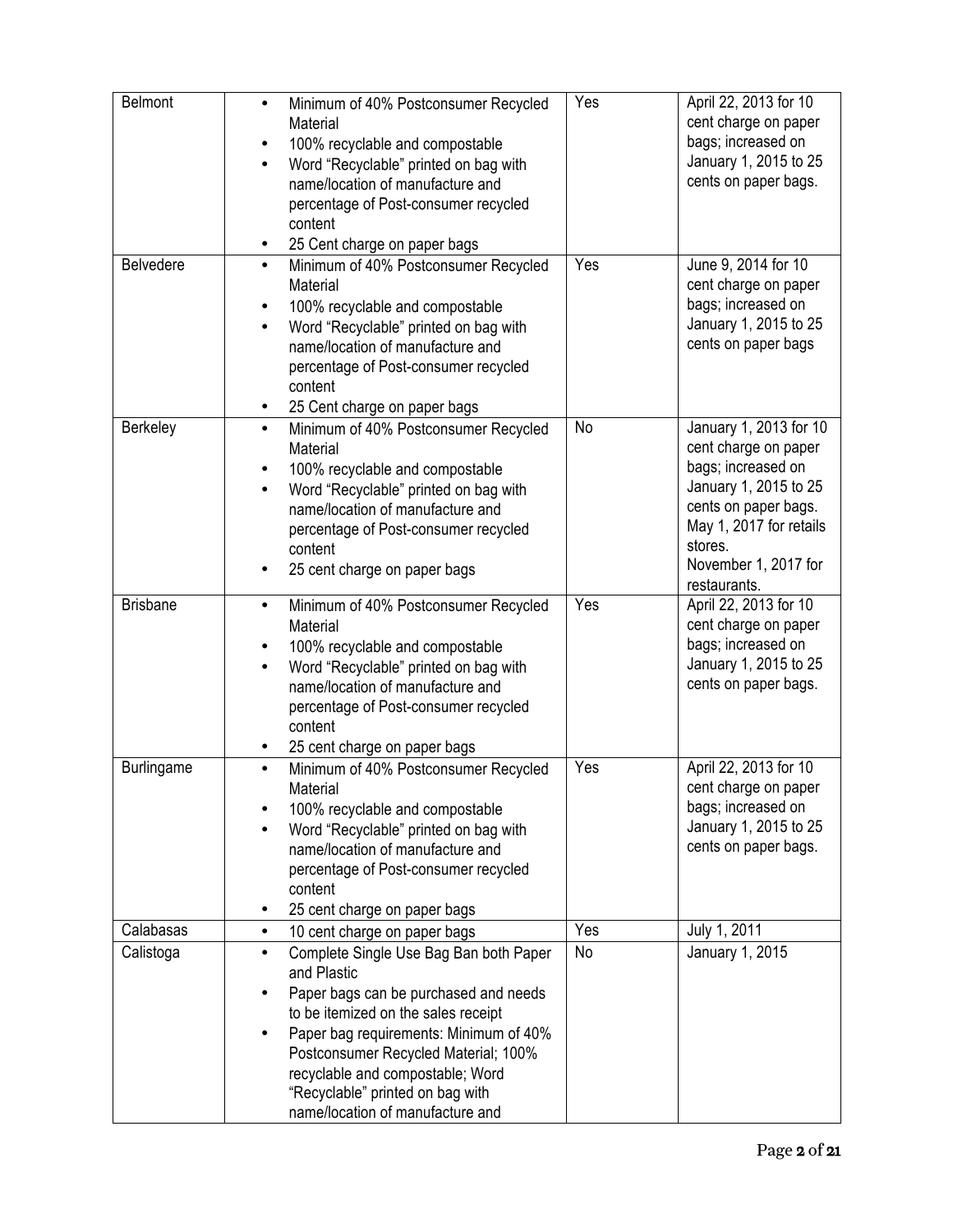| <b>Belmont</b>    |                                                               | Yes |                                               |
|-------------------|---------------------------------------------------------------|-----|-----------------------------------------------|
|                   | Minimum of 40% Postconsumer Recycled<br>$\bullet$<br>Material |     | April 22, 2013 for 10<br>cent charge on paper |
|                   | 100% recyclable and compostable                               |     | bags; increased on                            |
|                   | Word "Recyclable" printed on bag with                         |     | January 1, 2015 to 25                         |
|                   |                                                               |     | cents on paper bags.                          |
|                   | name/location of manufacture and                              |     |                                               |
|                   | percentage of Post-consumer recycled                          |     |                                               |
|                   | content                                                       |     |                                               |
|                   | 25 Cent charge on paper bags                                  |     |                                               |
| <b>Belvedere</b>  | Minimum of 40% Postconsumer Recycled<br>$\bullet$             | Yes | June 9, 2014 for 10                           |
|                   | Material                                                      |     | cent charge on paper                          |
|                   | 100% recyclable and compostable<br>$\bullet$                  |     | bags; increased on                            |
|                   | Word "Recyclable" printed on bag with                         |     | January 1, 2015 to 25                         |
|                   | name/location of manufacture and                              |     | cents on paper bags                           |
|                   | percentage of Post-consumer recycled                          |     |                                               |
|                   |                                                               |     |                                               |
|                   | content                                                       |     |                                               |
| Berkeley          | 25 Cent charge on paper bags<br>$\bullet$                     | No  | January 1, 2013 for 10                        |
|                   | Minimum of 40% Postconsumer Recycled<br>Material              |     |                                               |
|                   |                                                               |     | cent charge on paper<br>bags; increased on    |
|                   | 100% recyclable and compostable                               |     |                                               |
|                   | Word "Recyclable" printed on bag with<br>$\bullet$            |     | January 1, 2015 to 25                         |
|                   | name/location of manufacture and                              |     | cents on paper bags.                          |
|                   | percentage of Post-consumer recycled                          |     | May 1, 2017 for retails                       |
|                   | content                                                       |     | stores.                                       |
|                   | 25 cent charge on paper bags<br>٠                             |     | November 1, 2017 for                          |
|                   |                                                               |     | restaurants.                                  |
| <b>Brisbane</b>   | Minimum of 40% Postconsumer Recycled<br>$\bullet$             | Yes | April 22, 2013 for 10                         |
|                   | Material                                                      |     | cent charge on paper                          |
|                   | 100% recyclable and compostable<br>$\bullet$                  |     | bags; increased on                            |
|                   | Word "Recyclable" printed on bag with<br>$\bullet$            |     | January 1, 2015 to 25                         |
|                   | name/location of manufacture and                              |     | cents on paper bags.                          |
|                   | percentage of Post-consumer recycled                          |     |                                               |
|                   | content                                                       |     |                                               |
|                   |                                                               |     |                                               |
|                   | 25 cent charge on paper bags                                  | Yes |                                               |
| <b>Burlingame</b> | Minimum of 40% Postconsumer Recycled<br>$\bullet$             |     | April 22, 2013 for 10                         |
|                   | Material                                                      |     | cent charge on paper                          |
|                   | 100% recyclable and compostable                               |     | bags; increased on                            |
|                   | Word "Recyclable" printed on bag with                         |     | January 1, 2015 to 25                         |
|                   | name/location of manufacture and                              |     | cents on paper bags.                          |
|                   | percentage of Post-consumer recycled                          |     |                                               |
|                   | content                                                       |     |                                               |
|                   | 25 cent charge on paper bags                                  |     |                                               |
| Calabasas         | 10 cent charge on paper bags<br>$\bullet$                     | Yes | July 1, 2011                                  |
| Calistoga         | Complete Single Use Bag Ban both Paper<br>$\bullet$           | No  | January 1, 2015                               |
|                   | and Plastic                                                   |     |                                               |
|                   | Paper bags can be purchased and needs                         |     |                                               |
|                   | to be itemized on the sales receipt                           |     |                                               |
|                   | Paper bag requirements: Minimum of 40%                        |     |                                               |
|                   | Postconsumer Recycled Material; 100%                          |     |                                               |
|                   | recyclable and compostable; Word                              |     |                                               |
|                   |                                                               |     |                                               |
|                   | "Recyclable" printed on bag with                              |     |                                               |
|                   | name/location of manufacture and                              |     |                                               |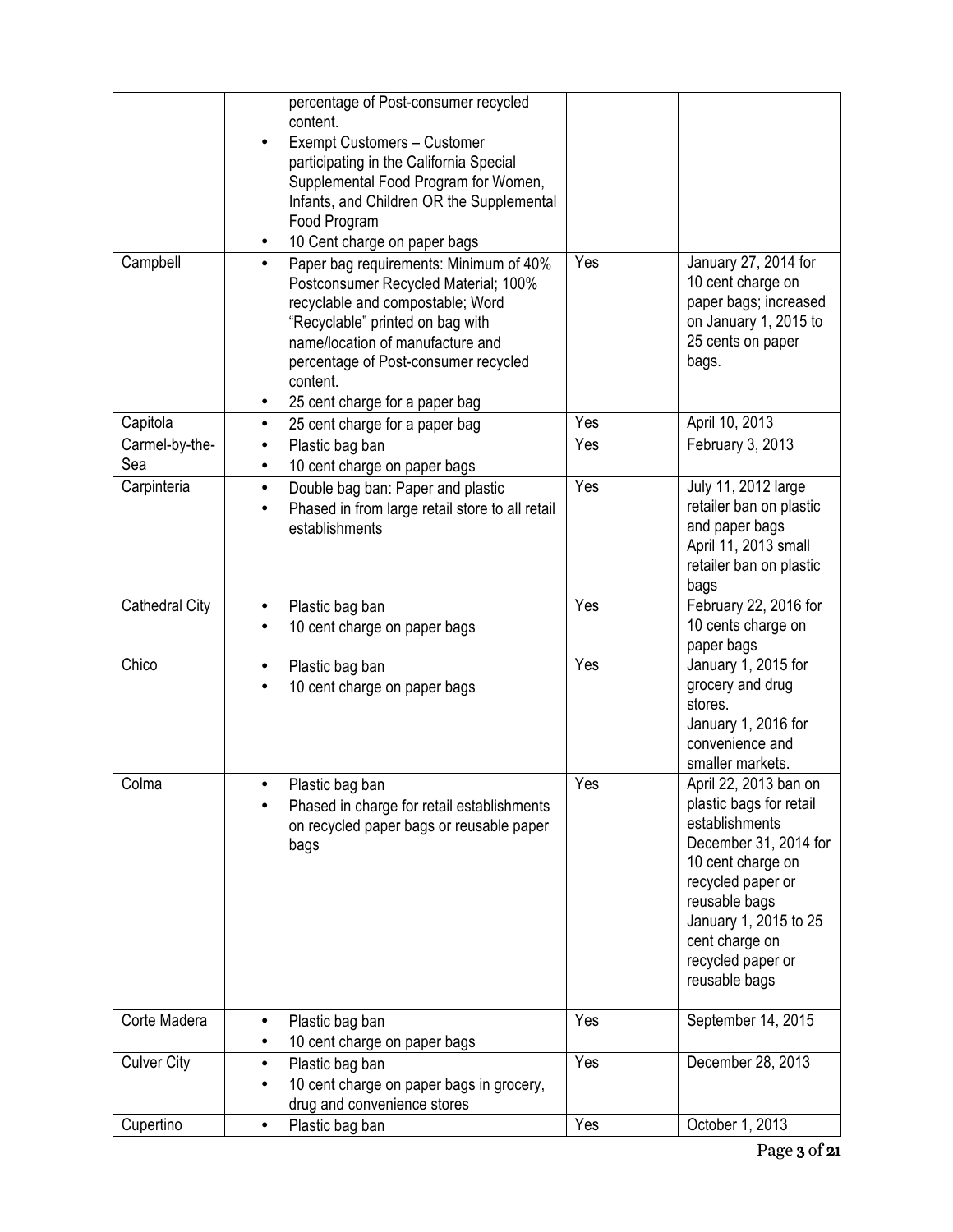| Campbell           | percentage of Post-consumer recycled<br>content.<br>Exempt Customers - Customer<br>participating in the California Special<br>Supplemental Food Program for Women,<br>Infants, and Children OR the Supplemental<br>Food Program<br>10 Cent charge on paper bags<br>Paper bag requirements: Minimum of 40%<br>$\bullet$<br>Postconsumer Recycled Material; 100%<br>recyclable and compostable; Word<br>"Recyclable" printed on bag with<br>name/location of manufacture and<br>percentage of Post-consumer recycled<br>content.<br>25 cent charge for a paper bag<br>٠ | Yes | January 27, 2014 for<br>10 cent charge on<br>paper bags; increased<br>on January 1, 2015 to<br>25 cents on paper<br>bags.                                                                                                               |
|--------------------|-----------------------------------------------------------------------------------------------------------------------------------------------------------------------------------------------------------------------------------------------------------------------------------------------------------------------------------------------------------------------------------------------------------------------------------------------------------------------------------------------------------------------------------------------------------------------|-----|-----------------------------------------------------------------------------------------------------------------------------------------------------------------------------------------------------------------------------------------|
| Capitola           | 25 cent charge for a paper bag<br>$\bullet$                                                                                                                                                                                                                                                                                                                                                                                                                                                                                                                           | Yes | April 10, 2013                                                                                                                                                                                                                          |
| Carmel-by-the-     | Plastic bag ban<br>$\bullet$                                                                                                                                                                                                                                                                                                                                                                                                                                                                                                                                          | Yes | February 3, 2013                                                                                                                                                                                                                        |
| Sea                | 10 cent charge on paper bags<br>٠                                                                                                                                                                                                                                                                                                                                                                                                                                                                                                                                     |     |                                                                                                                                                                                                                                         |
| Carpinteria        | Double bag ban: Paper and plastic<br>$\bullet$<br>Phased in from large retail store to all retail<br>establishments                                                                                                                                                                                                                                                                                                                                                                                                                                                   | Yes | July 11, 2012 large<br>retailer ban on plastic<br>and paper bags<br>April 11, 2013 small<br>retailer ban on plastic<br>bags                                                                                                             |
| Cathedral City     | Plastic bag ban<br>10 cent charge on paper bags                                                                                                                                                                                                                                                                                                                                                                                                                                                                                                                       | Yes | February 22, 2016 for<br>10 cents charge on<br>paper bags                                                                                                                                                                               |
| Chico              | Plastic bag ban<br>$\bullet$<br>10 cent charge on paper bags                                                                                                                                                                                                                                                                                                                                                                                                                                                                                                          | Yes | January 1, 2015 for<br>grocery and drug<br>stores.<br>January 1, 2016 for<br>convenience and<br>smaller markets.                                                                                                                        |
| Colma              | Plastic bag ban<br>Phased in charge for retail establishments<br>on recycled paper bags or reusable paper<br>bags                                                                                                                                                                                                                                                                                                                                                                                                                                                     | Yes | April 22, 2013 ban on<br>plastic bags for retail<br>establishments<br>December 31, 2014 for<br>10 cent charge on<br>recycled paper or<br>reusable bags<br>January 1, 2015 to 25<br>cent charge on<br>recycled paper or<br>reusable bags |
| Corte Madera       | Plastic bag ban<br>$\bullet$                                                                                                                                                                                                                                                                                                                                                                                                                                                                                                                                          | Yes | September 14, 2015                                                                                                                                                                                                                      |
|                    | 10 cent charge on paper bags                                                                                                                                                                                                                                                                                                                                                                                                                                                                                                                                          |     |                                                                                                                                                                                                                                         |
| <b>Culver City</b> | Plastic bag ban<br>$\bullet$<br>10 cent charge on paper bags in grocery,<br>drug and convenience stores                                                                                                                                                                                                                                                                                                                                                                                                                                                               | Yes | December 28, 2013                                                                                                                                                                                                                       |
| Cupertino          | Plastic bag ban<br>$\bullet$                                                                                                                                                                                                                                                                                                                                                                                                                                                                                                                                          | Yes | October 1, 2013                                                                                                                                                                                                                         |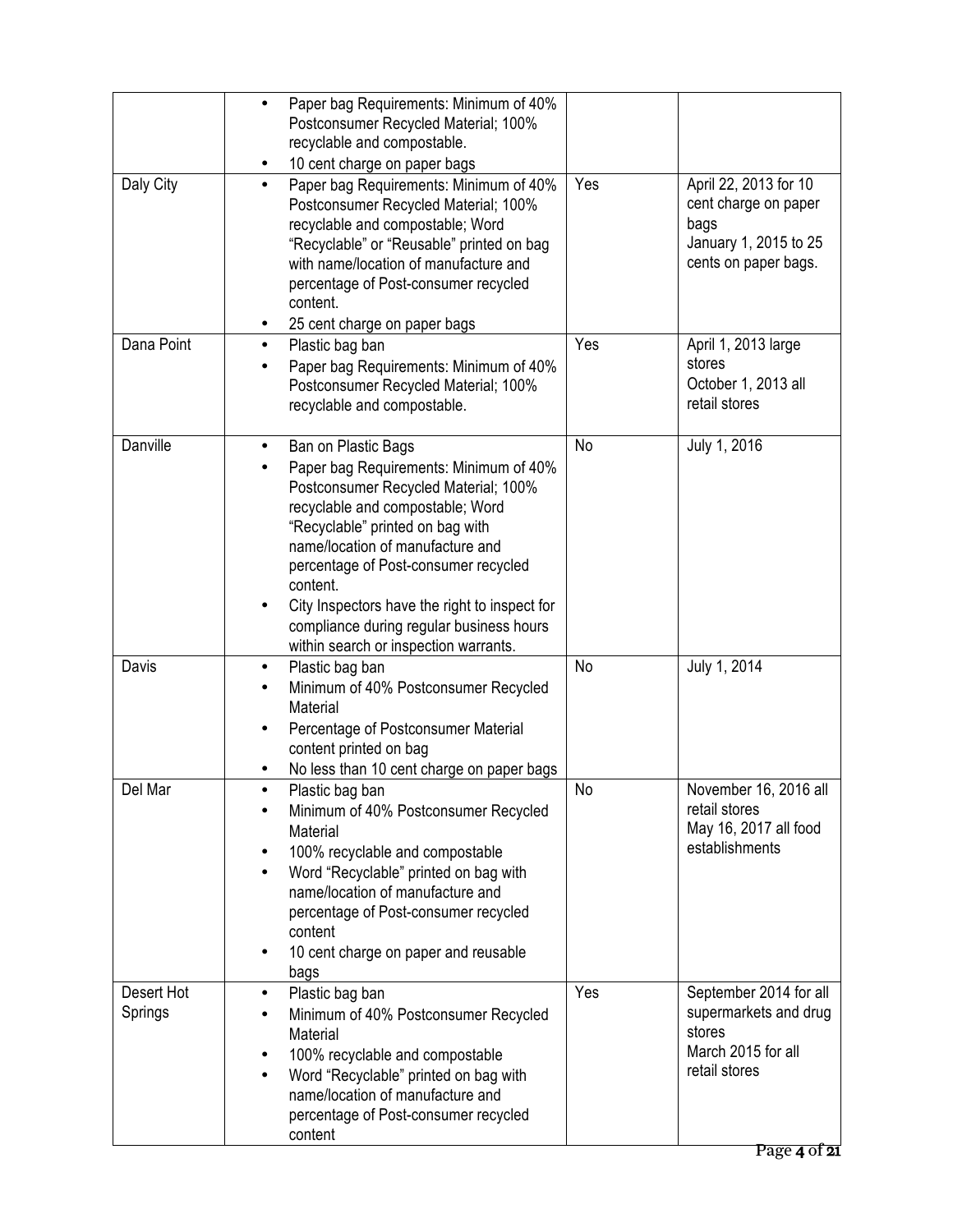|                       | Paper bag Requirements: Minimum of 40%<br>$\bullet$<br>Postconsumer Recycled Material; 100%<br>recyclable and compostable.<br>10 cent charge on paper bags                                                                                                                                                                                                                                                                    |     |                                                                                                                  |
|-----------------------|-------------------------------------------------------------------------------------------------------------------------------------------------------------------------------------------------------------------------------------------------------------------------------------------------------------------------------------------------------------------------------------------------------------------------------|-----|------------------------------------------------------------------------------------------------------------------|
| Daly City             | Paper bag Requirements: Minimum of 40%<br>$\bullet$<br>Postconsumer Recycled Material; 100%<br>recyclable and compostable; Word<br>"Recyclable" or "Reusable" printed on bag<br>with name/location of manufacture and<br>percentage of Post-consumer recycled<br>content.<br>25 cent charge on paper bags                                                                                                                     | Yes | April 22, 2013 for 10<br>cent charge on paper<br>bags<br>January 1, 2015 to 25<br>cents on paper bags.           |
| Dana Point            | Plastic bag ban<br>$\bullet$<br>Paper bag Requirements: Minimum of 40%<br>Postconsumer Recycled Material; 100%<br>recyclable and compostable.                                                                                                                                                                                                                                                                                 | Yes | April 1, 2013 large<br>stores<br>October 1, 2013 all<br>retail stores                                            |
| Danville              | Ban on Plastic Bags<br>٠<br>Paper bag Requirements: Minimum of 40%<br>Postconsumer Recycled Material; 100%<br>recyclable and compostable; Word<br>"Recyclable" printed on bag with<br>name/location of manufacture and<br>percentage of Post-consumer recycled<br>content.<br>City Inspectors have the right to inspect for<br>$\bullet$<br>compliance during regular business hours<br>within search or inspection warrants. | No  | July 1, 2016                                                                                                     |
| Davis                 | Plastic bag ban<br>$\bullet$<br>Minimum of 40% Postconsumer Recycled<br>Material<br>Percentage of Postconsumer Material<br>$\bullet$<br>content printed on bag<br>No less than 10 cent charge on paper bags                                                                                                                                                                                                                   | No  | July 1, 2014                                                                                                     |
| Del Mar               | Plastic bag ban<br>Minimum of 40% Postconsumer Recycled<br>Material<br>100% recyclable and compostable<br>٠<br>Word "Recyclable" printed on bag with<br>$\bullet$<br>name/location of manufacture and<br>percentage of Post-consumer recycled<br>content<br>10 cent charge on paper and reusable<br>$\bullet$<br>bags                                                                                                         | No  | November 16, 2016 all<br>retail stores<br>May 16, 2017 all food<br>establishments                                |
| Desert Hot<br>Springs | Plastic bag ban<br>$\bullet$<br>Minimum of 40% Postconsumer Recycled<br>Material<br>100% recyclable and compostable<br>$\bullet$<br>Word "Recyclable" printed on bag with<br>$\bullet$<br>name/location of manufacture and<br>percentage of Post-consumer recycled<br>content                                                                                                                                                 | Yes | September 2014 for all<br>supermarkets and drug<br>stores<br>March 2015 for all<br>retail stores<br>Page 4 of 21 |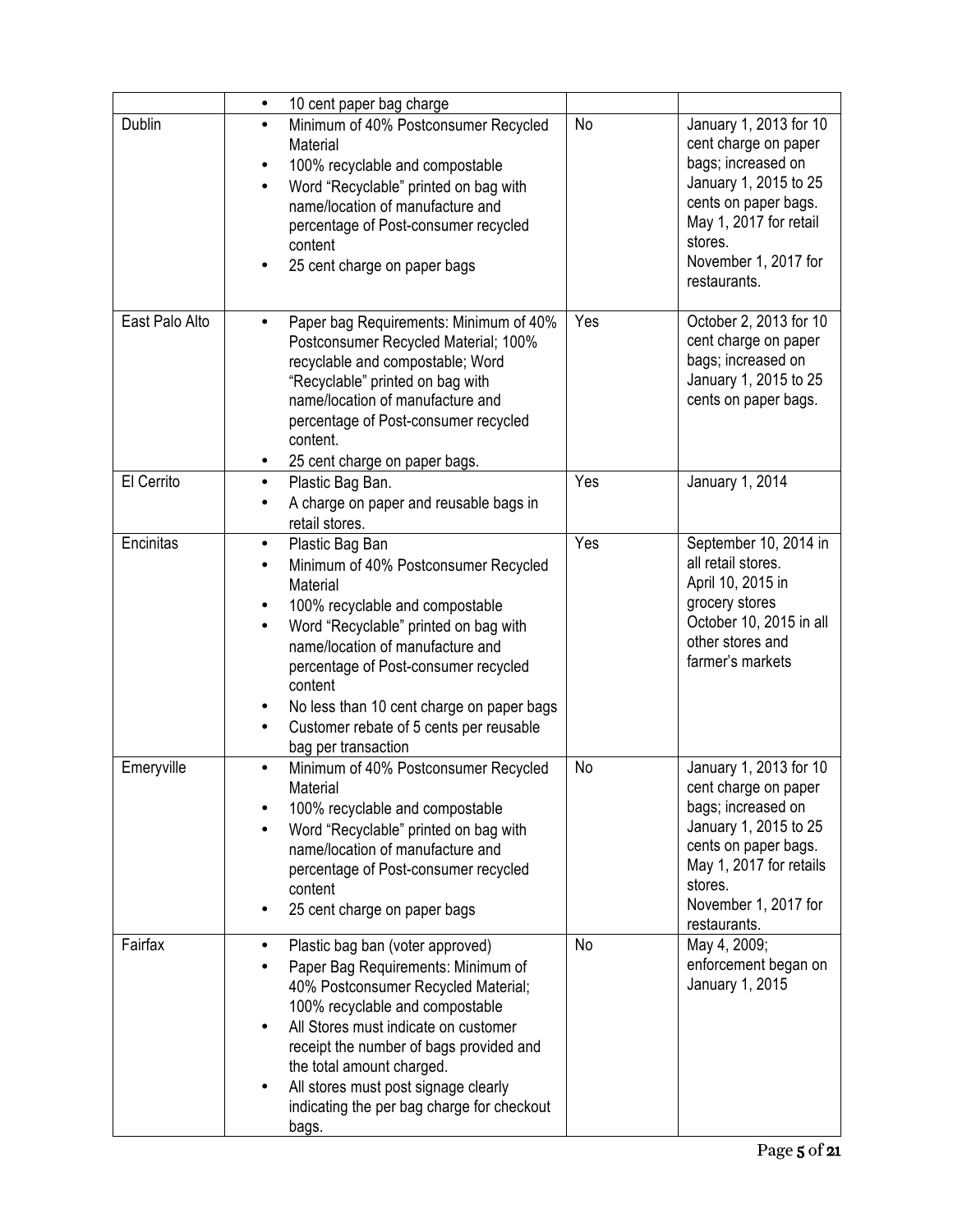|                | 10 cent paper bag charge<br>$\bullet$                                                                                                                                                                                                                                                                                                                                                     |     |                                                                                                                                                                                                     |
|----------------|-------------------------------------------------------------------------------------------------------------------------------------------------------------------------------------------------------------------------------------------------------------------------------------------------------------------------------------------------------------------------------------------|-----|-----------------------------------------------------------------------------------------------------------------------------------------------------------------------------------------------------|
| <b>Dublin</b>  | Minimum of 40% Postconsumer Recycled<br>$\bullet$<br>Material<br>100% recyclable and compostable<br>$\bullet$<br>Word "Recyclable" printed on bag with<br>$\bullet$<br>name/location of manufacture and<br>percentage of Post-consumer recycled<br>content<br>25 cent charge on paper bags<br>$\bullet$                                                                                   | No  | January 1, 2013 for 10<br>cent charge on paper<br>bags; increased on<br>January 1, 2015 to 25<br>cents on paper bags.<br>May 1, 2017 for retail<br>stores.<br>November 1, 2017 for<br>restaurants.  |
| East Palo Alto | Paper bag Requirements: Minimum of 40%<br>Postconsumer Recycled Material; 100%<br>recyclable and compostable; Word<br>"Recyclable" printed on bag with<br>name/location of manufacture and<br>percentage of Post-consumer recycled<br>content.<br>25 cent charge on paper bags.                                                                                                           | Yes | October 2, 2013 for 10<br>cent charge on paper<br>bags; increased on<br>January 1, 2015 to 25<br>cents on paper bags.                                                                               |
| El Cerrito     | Plastic Bag Ban.<br>$\bullet$<br>A charge on paper and reusable bags in<br>retail stores.                                                                                                                                                                                                                                                                                                 | Yes | January 1, 2014                                                                                                                                                                                     |
| Encinitas      | Plastic Bag Ban<br>$\bullet$<br>Minimum of 40% Postconsumer Recycled<br>Material<br>100% recyclable and compostable<br>٠<br>Word "Recyclable" printed on bag with<br>name/location of manufacture and<br>percentage of Post-consumer recycled<br>content<br>No less than 10 cent charge on paper bags<br>٠<br>Customer rebate of 5 cents per reusable<br>$\bullet$<br>bag per transaction | Yes | September 10, 2014 in<br>all retail stores.<br>April 10, 2015 in<br>grocery stores<br>October 10, 2015 in all<br>other stores and<br>farmer's markets                                               |
| Emeryville     | Minimum of 40% Postconsumer Recycled<br>$\bullet$<br>Material<br>100% recyclable and compostable<br>Word "Recyclable" printed on bag with<br>name/location of manufacture and<br>percentage of Post-consumer recycled<br>content<br>25 cent charge on paper bags                                                                                                                          | No  | January 1, 2013 for 10<br>cent charge on paper<br>bags; increased on<br>January 1, 2015 to 25<br>cents on paper bags.<br>May 1, 2017 for retails<br>stores.<br>November 1, 2017 for<br>restaurants. |
| Fairfax        | Plastic bag ban (voter approved)<br>Paper Bag Requirements: Minimum of<br>40% Postconsumer Recycled Material;<br>100% recyclable and compostable<br>All Stores must indicate on customer<br>receipt the number of bags provided and<br>the total amount charged.<br>All stores must post signage clearly<br>indicating the per bag charge for checkout<br>bags.                           | No  | May 4, 2009;<br>enforcement began on<br>January 1, 2015                                                                                                                                             |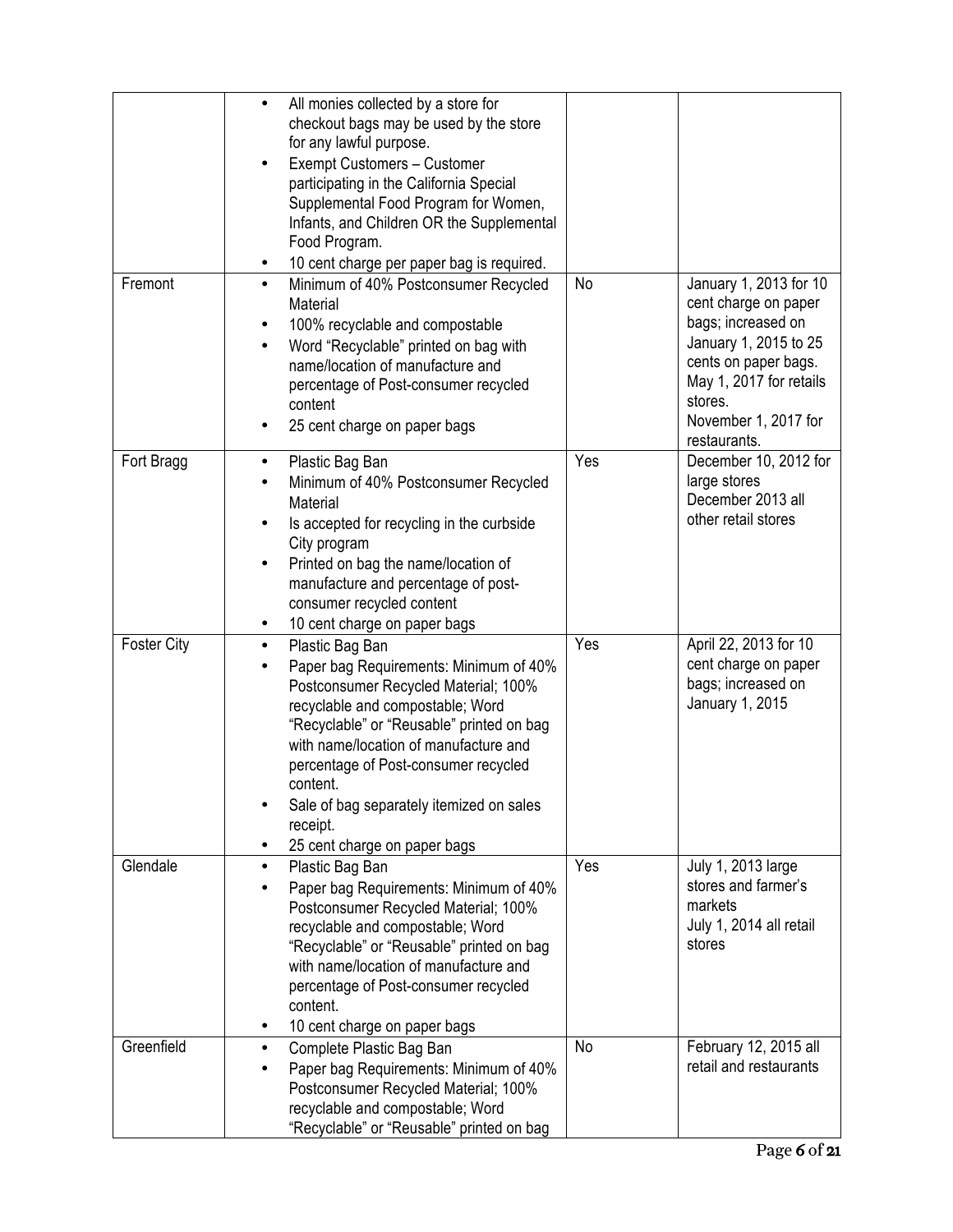|                    | All monies collected by a store for<br>$\bullet$<br>checkout bags may be used by the store<br>for any lawful purpose.<br>Exempt Customers - Customer<br>participating in the California Special<br>Supplemental Food Program for Women,<br>Infants, and Children OR the Supplemental<br>Food Program.<br>10 cent charge per paper bag is required.<br>$\bullet$                      |     |                                                                                                                                                                                                     |
|--------------------|--------------------------------------------------------------------------------------------------------------------------------------------------------------------------------------------------------------------------------------------------------------------------------------------------------------------------------------------------------------------------------------|-----|-----------------------------------------------------------------------------------------------------------------------------------------------------------------------------------------------------|
| Fremont            | Minimum of 40% Postconsumer Recycled<br>$\bullet$<br>Material<br>100% recyclable and compostable<br>Word "Recyclable" printed on bag with<br>name/location of manufacture and<br>percentage of Post-consumer recycled<br>content<br>25 cent charge on paper bags                                                                                                                     | No  | January 1, 2013 for 10<br>cent charge on paper<br>bags; increased on<br>January 1, 2015 to 25<br>cents on paper bags.<br>May 1, 2017 for retails<br>stores.<br>November 1, 2017 for<br>restaurants. |
| Fort Bragg         | Plastic Bag Ban<br>٠<br>Minimum of 40% Postconsumer Recycled<br>Material<br>Is accepted for recycling in the curbside<br>City program<br>Printed on bag the name/location of<br>$\bullet$<br>manufacture and percentage of post-<br>consumer recycled content<br>10 cent charge on paper bags                                                                                        | Yes | December 10, 2012 for<br>large stores<br>December 2013 all<br>other retail stores                                                                                                                   |
| <b>Foster City</b> | Plastic Bag Ban<br>$\bullet$<br>Paper bag Requirements: Minimum of 40%<br>Postconsumer Recycled Material; 100%<br>recyclable and compostable; Word<br>"Recyclable" or "Reusable" printed on bag<br>with name/location of manufacture and<br>percentage of Post-consumer recycled<br>content.<br>Sale of bag separately itemized on sales<br>receipt.<br>25 cent charge on paper bags | Yes | April 22, 2013 for 10<br>cent charge on paper<br>bags; increased on<br>January 1, 2015                                                                                                              |
| Glendale           | Plastic Bag Ban<br>Paper bag Requirements: Minimum of 40%<br>Postconsumer Recycled Material; 100%<br>recyclable and compostable; Word<br>"Recyclable" or "Reusable" printed on bag<br>with name/location of manufacture and<br>percentage of Post-consumer recycled<br>content.<br>10 cent charge on paper bags                                                                      | Yes | July 1, 2013 large<br>stores and farmer's<br>markets<br>July 1, 2014 all retail<br>stores                                                                                                           |
| Greenfield         | Complete Plastic Bag Ban<br>Paper bag Requirements: Minimum of 40%<br>Postconsumer Recycled Material; 100%<br>recyclable and compostable; Word<br>"Recyclable" or "Reusable" printed on bag                                                                                                                                                                                          | No  | February 12, 2015 all<br>retail and restaurants                                                                                                                                                     |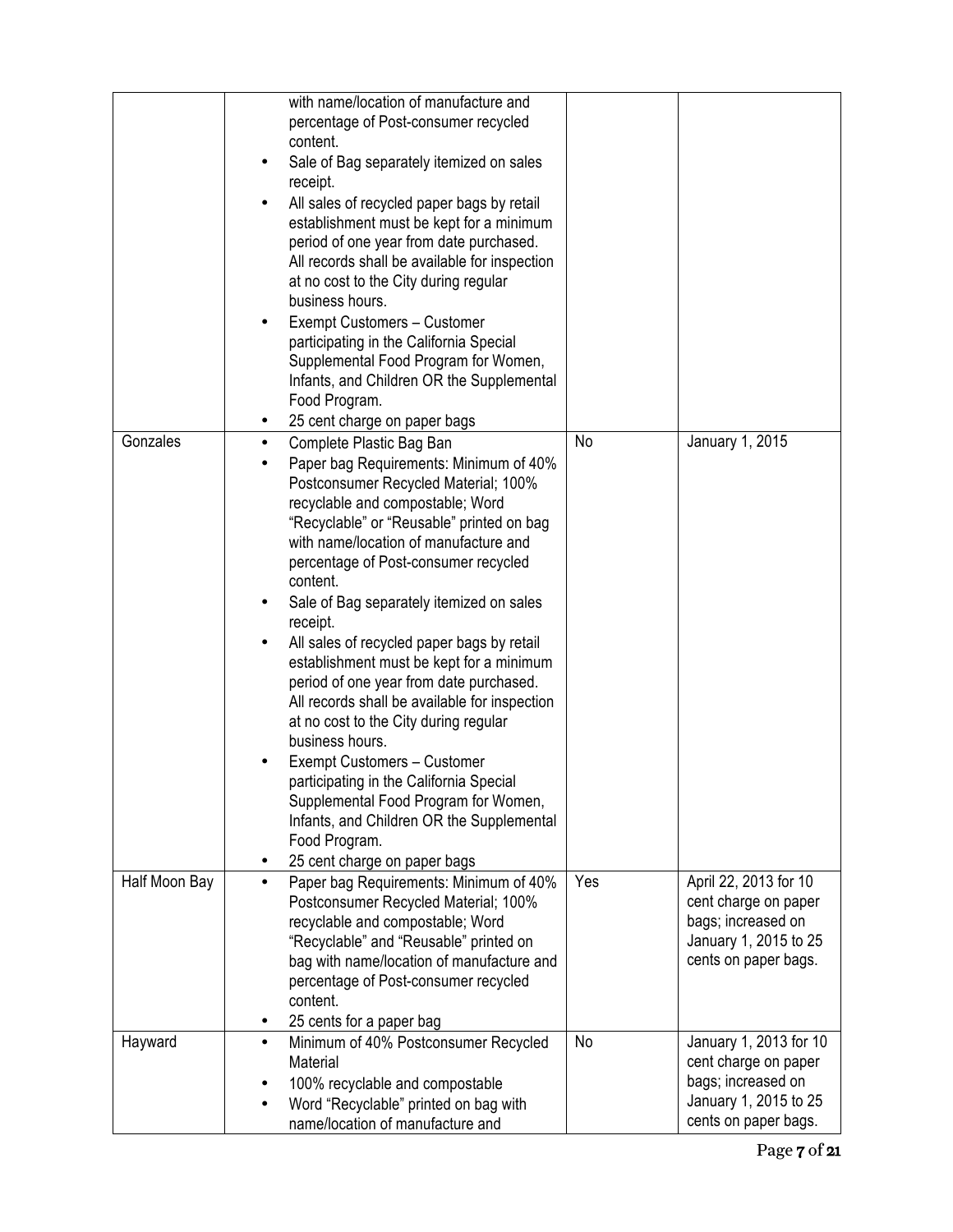|               | with name/location of manufacture and<br>percentage of Post-consumer recycled<br>content.<br>Sale of Bag separately itemized on sales<br>٠<br>receipt.<br>All sales of recycled paper bags by retail<br>establishment must be kept for a minimum<br>period of one year from date purchased.<br>All records shall be available for inspection<br>at no cost to the City during regular<br>business hours.<br>Exempt Customers - Customer<br>٠<br>participating in the California Special<br>Supplemental Food Program for Women,<br>Infants, and Children OR the Supplemental<br>Food Program.<br>25 cent charge on paper bags<br>$\bullet$                                                                                                                                                                                                                     |           |                                                                                                                       |
|---------------|----------------------------------------------------------------------------------------------------------------------------------------------------------------------------------------------------------------------------------------------------------------------------------------------------------------------------------------------------------------------------------------------------------------------------------------------------------------------------------------------------------------------------------------------------------------------------------------------------------------------------------------------------------------------------------------------------------------------------------------------------------------------------------------------------------------------------------------------------------------|-----------|-----------------------------------------------------------------------------------------------------------------------|
| Gonzales      | Complete Plastic Bag Ban<br>$\bullet$<br>Paper bag Requirements: Minimum of 40%<br>Postconsumer Recycled Material; 100%<br>recyclable and compostable; Word<br>"Recyclable" or "Reusable" printed on bag<br>with name/location of manufacture and<br>percentage of Post-consumer recycled<br>content.<br>Sale of Bag separately itemized on sales<br>$\bullet$<br>receipt.<br>All sales of recycled paper bags by retail<br>$\bullet$<br>establishment must be kept for a minimum<br>period of one year from date purchased.<br>All records shall be available for inspection<br>at no cost to the City during regular<br>business hours.<br>Exempt Customers - Customer<br>participating in the California Special<br>Supplemental Food Program for Women,<br>Infants, and Children OR the Supplemental<br>Food Program.<br>25 cent charge on paper bags<br>٠ | <b>No</b> | January 1, 2015                                                                                                       |
| Half Moon Bay | Paper bag Requirements: Minimum of 40%<br>$\bullet$<br>Postconsumer Recycled Material; 100%<br>recyclable and compostable; Word<br>"Recyclable" and "Reusable" printed on<br>bag with name/location of manufacture and<br>percentage of Post-consumer recycled<br>content.<br>25 cents for a paper bag<br>٠                                                                                                                                                                                                                                                                                                                                                                                                                                                                                                                                                    | Yes       | April 22, 2013 for 10<br>cent charge on paper<br>bags; increased on<br>January 1, 2015 to 25<br>cents on paper bags.  |
| Hayward       | Minimum of 40% Postconsumer Recycled<br>٠<br>Material<br>100% recyclable and compostable<br>٠<br>Word "Recyclable" printed on bag with<br>٠<br>name/location of manufacture and                                                                                                                                                                                                                                                                                                                                                                                                                                                                                                                                                                                                                                                                                | No        | January 1, 2013 for 10<br>cent charge on paper<br>bags; increased on<br>January 1, 2015 to 25<br>cents on paper bags. |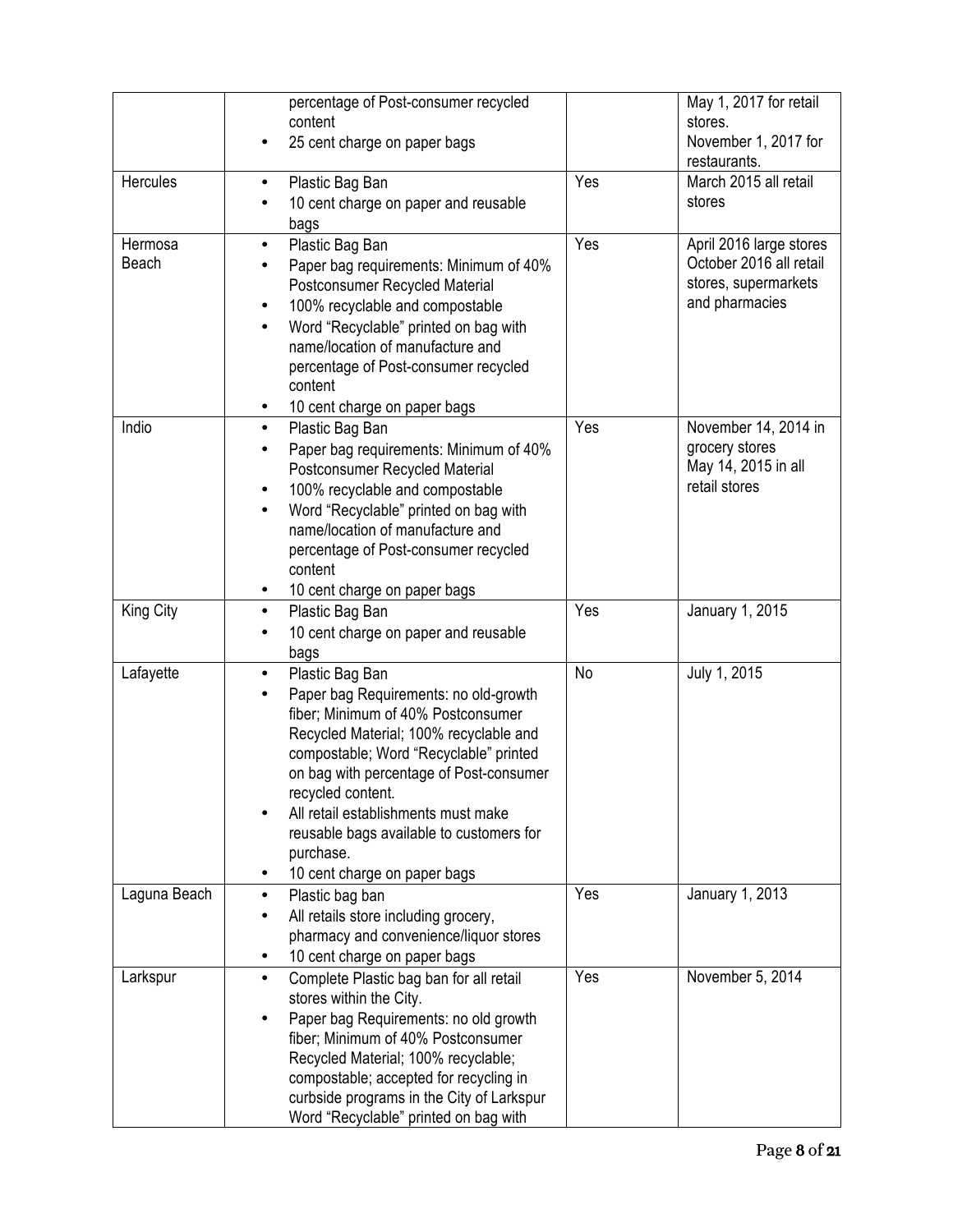|                  | percentage of Post-consumer recycled<br>content                                                                                                                                                                                                                                                                                                                                                 |     | May 1, 2017 for retail<br>stores.                                                            |
|------------------|-------------------------------------------------------------------------------------------------------------------------------------------------------------------------------------------------------------------------------------------------------------------------------------------------------------------------------------------------------------------------------------------------|-----|----------------------------------------------------------------------------------------------|
|                  | 25 cent charge on paper bags                                                                                                                                                                                                                                                                                                                                                                    |     | November 1, 2017 for<br>restaurants.                                                         |
| Hercules         | Plastic Bag Ban<br>٠<br>10 cent charge on paper and reusable<br>bags                                                                                                                                                                                                                                                                                                                            | Yes | March 2015 all retail<br>stores                                                              |
| Hermosa<br>Beach | Plastic Bag Ban<br>$\bullet$<br>Paper bag requirements: Minimum of 40%<br>Postconsumer Recycled Material<br>100% recyclable and compostable<br>Word "Recyclable" printed on bag with<br>name/location of manufacture and<br>percentage of Post-consumer recycled<br>content<br>10 cent charge on paper bags                                                                                     | Yes | April 2016 large stores<br>October 2016 all retail<br>stores, supermarkets<br>and pharmacies |
| Indio            | Plastic Bag Ban<br>$\bullet$<br>Paper bag requirements: Minimum of 40%<br>Postconsumer Recycled Material<br>100% recyclable and compostable<br>$\bullet$<br>Word "Recyclable" printed on bag with<br>name/location of manufacture and<br>percentage of Post-consumer recycled<br>content<br>10 cent charge on paper bags<br>٠                                                                   | Yes | November 14, 2014 in<br>grocery stores<br>May 14, 2015 in all<br>retail stores               |
| King City        | Plastic Bag Ban<br>$\bullet$<br>10 cent charge on paper and reusable<br>bags                                                                                                                                                                                                                                                                                                                    | Yes | January 1, 2015                                                                              |
| Lafayette        | Plastic Bag Ban<br>$\bullet$<br>Paper bag Requirements: no old-growth<br>fiber; Minimum of 40% Postconsumer<br>Recycled Material; 100% recyclable and<br>compostable; Word "Recyclable" printed<br>on bag with percentage of Post-consumer<br>recycled content.<br>All retail establishments must make<br>reusable bags available to customers for<br>purchase.<br>10 cent charge on paper bags | No  | July 1, 2015                                                                                 |
| Laguna Beach     | Plastic bag ban<br>٠<br>All retails store including grocery,<br>pharmacy and convenience/liquor stores<br>10 cent charge on paper bags                                                                                                                                                                                                                                                          | Yes | January 1, 2013                                                                              |
| Larkspur         | Complete Plastic bag ban for all retail<br>stores within the City.<br>Paper bag Requirements: no old growth<br>fiber; Minimum of 40% Postconsumer<br>Recycled Material; 100% recyclable;<br>compostable; accepted for recycling in<br>curbside programs in the City of Larkspur<br>Word "Recyclable" printed on bag with                                                                        | Yes | November 5, 2014                                                                             |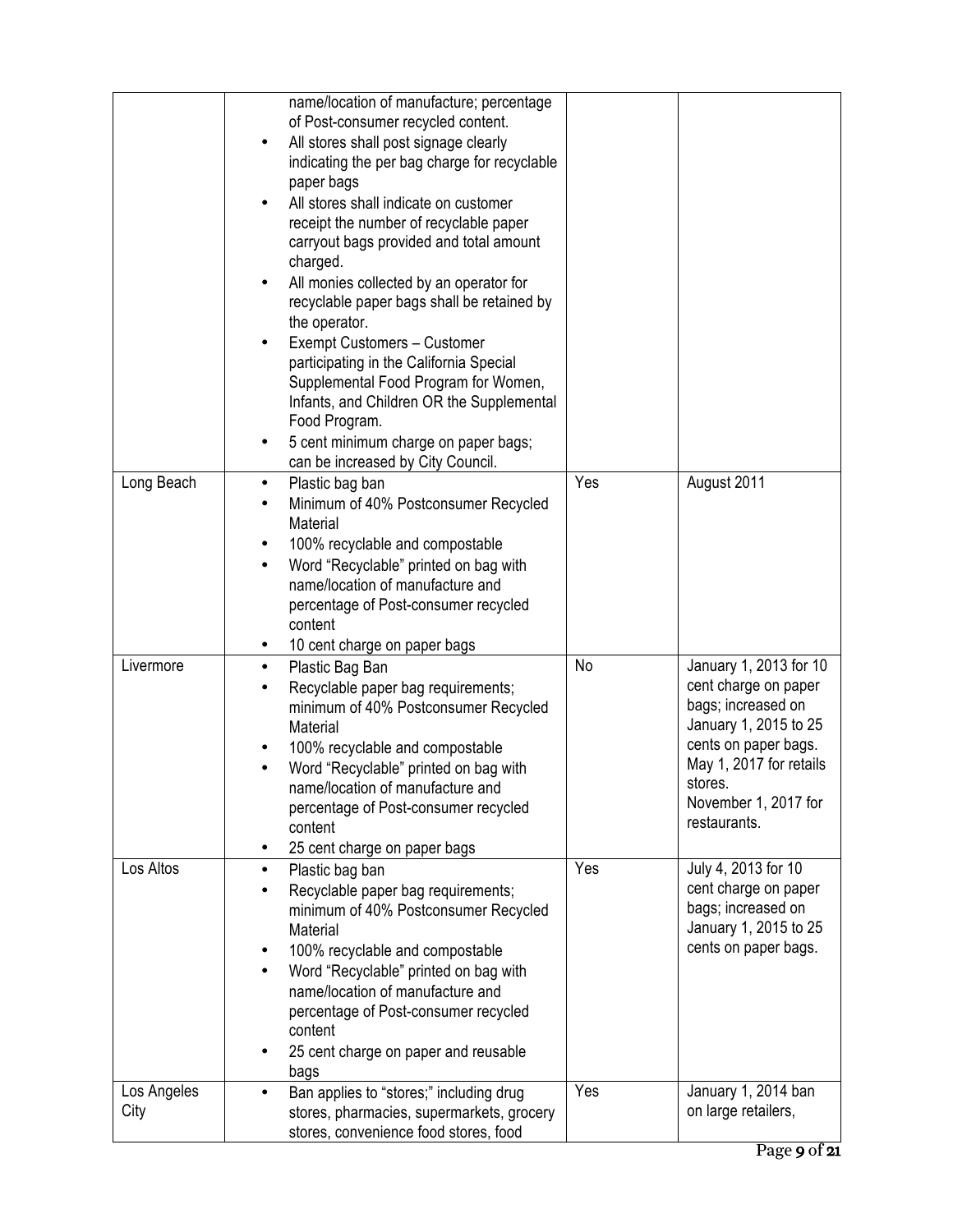|                     | name/location of manufacture; percentage<br>of Post-consumer recycled content.<br>All stores shall post signage clearly<br>$\bullet$<br>indicating the per bag charge for recyclable<br>paper bags<br>All stores shall indicate on customer<br>receipt the number of recyclable paper<br>carryout bags provided and total amount<br>charged.<br>All monies collected by an operator for<br>$\bullet$<br>recyclable paper bags shall be retained by<br>the operator.<br>Exempt Customers - Customer<br>participating in the California Special<br>Supplemental Food Program for Women,<br>Infants, and Children OR the Supplemental<br>Food Program.<br>5 cent minimum charge on paper bags;<br>٠<br>can be increased by City Council. |     |                                                                                                                                                                                                     |
|---------------------|---------------------------------------------------------------------------------------------------------------------------------------------------------------------------------------------------------------------------------------------------------------------------------------------------------------------------------------------------------------------------------------------------------------------------------------------------------------------------------------------------------------------------------------------------------------------------------------------------------------------------------------------------------------------------------------------------------------------------------------|-----|-----------------------------------------------------------------------------------------------------------------------------------------------------------------------------------------------------|
| Long Beach          | Plastic bag ban<br>٠<br>Minimum of 40% Postconsumer Recycled<br>Material<br>100% recyclable and compostable<br>٠                                                                                                                                                                                                                                                                                                                                                                                                                                                                                                                                                                                                                      | Yes | August 2011                                                                                                                                                                                         |
|                     | Word "Recyclable" printed on bag with<br>$\bullet$<br>name/location of manufacture and<br>percentage of Post-consumer recycled<br>content<br>10 cent charge on paper bags<br>$\bullet$                                                                                                                                                                                                                                                                                                                                                                                                                                                                                                                                                |     |                                                                                                                                                                                                     |
| Livermore           | Plastic Bag Ban<br>$\bullet$<br>Recyclable paper bag requirements;<br>minimum of 40% Postconsumer Recycled<br>Material<br>100% recyclable and compostable<br>Word "Recyclable" printed on bag with<br>name/location of manufacture and<br>percentage of Post-consumer recycled<br>content<br>25 cent charge on paper bags<br>٠                                                                                                                                                                                                                                                                                                                                                                                                        | No  | January 1, 2013 for 10<br>cent charge on paper<br>bags; increased on<br>January 1, 2015 to 25<br>cents on paper bags.<br>May 1, 2017 for retails<br>stores.<br>November 1, 2017 for<br>restaurants. |
| Los Altos           | Plastic bag ban<br>$\bullet$<br>Recyclable paper bag requirements;<br>minimum of 40% Postconsumer Recycled<br>Material<br>100% recyclable and compostable<br>٠<br>Word "Recyclable" printed on bag with<br>name/location of manufacture and<br>percentage of Post-consumer recycled<br>content<br>25 cent charge on paper and reusable<br>٠<br>bags                                                                                                                                                                                                                                                                                                                                                                                   | Yes | July 4, 2013 for 10<br>cent charge on paper<br>bags; increased on<br>January 1, 2015 to 25<br>cents on paper bags.                                                                                  |
| Los Angeles<br>City | Ban applies to "stores;" including drug<br>stores, pharmacies, supermarkets, grocery<br>stores, convenience food stores, food                                                                                                                                                                                                                                                                                                                                                                                                                                                                                                                                                                                                         | Yes | January 1, 2014 ban<br>on large retailers,                                                                                                                                                          |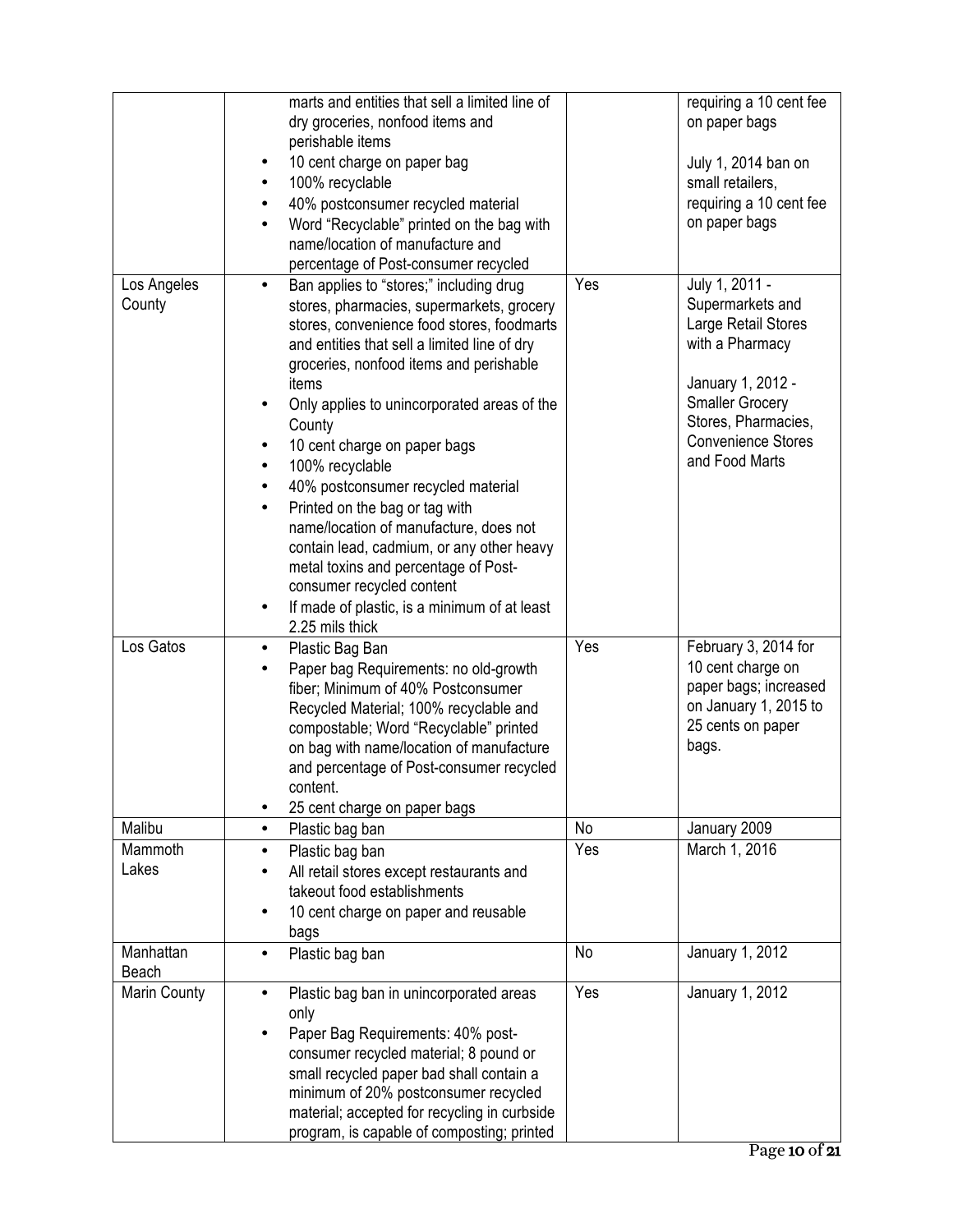|                       | marts and entities that sell a limited line of                                          |     | requiring a 10 cent fee            |
|-----------------------|-----------------------------------------------------------------------------------------|-----|------------------------------------|
|                       | dry groceries, nonfood items and                                                        |     | on paper bags                      |
|                       | perishable items                                                                        |     |                                    |
|                       | 10 cent charge on paper bag<br>٠                                                        |     | July 1, 2014 ban on                |
|                       | 100% recyclable<br>$\bullet$                                                            |     | small retailers,                   |
|                       | 40% postconsumer recycled material                                                      |     | requiring a 10 cent fee            |
|                       | Word "Recyclable" printed on the bag with<br>$\bullet$                                  |     | on paper bags                      |
|                       | name/location of manufacture and                                                        |     |                                    |
|                       | percentage of Post-consumer recycled                                                    | Yes |                                    |
| Los Angeles<br>County | Ban applies to "stores;" including drug<br>$\bullet$                                    |     | July 1, 2011 -<br>Supermarkets and |
|                       | stores, pharmacies, supermarkets, grocery<br>stores, convenience food stores, foodmarts |     | Large Retail Stores                |
|                       | and entities that sell a limited line of dry                                            |     | with a Pharmacy                    |
|                       | groceries, nonfood items and perishable                                                 |     |                                    |
|                       | items                                                                                   |     | January 1, 2012 -                  |
|                       | Only applies to unincorporated areas of the                                             |     | <b>Smaller Grocery</b>             |
|                       | County                                                                                  |     | Stores, Pharmacies,                |
|                       | 10 cent charge on paper bags<br>٠                                                       |     | <b>Convenience Stores</b>          |
|                       | 100% recyclable<br>$\bullet$                                                            |     | and Food Marts                     |
|                       | 40% postconsumer recycled material<br>$\bullet$                                         |     |                                    |
|                       | Printed on the bag or tag with<br>$\bullet$                                             |     |                                    |
|                       | name/location of manufacture, does not                                                  |     |                                    |
|                       | contain lead, cadmium, or any other heavy                                               |     |                                    |
|                       | metal toxins and percentage of Post-                                                    |     |                                    |
|                       | consumer recycled content                                                               |     |                                    |
|                       | If made of plastic, is a minimum of at least<br>$\bullet$<br>2.25 mils thick            |     |                                    |
| Los Gatos             | Plastic Bag Ban<br>$\bullet$                                                            | Yes | February 3, 2014 for               |
|                       | Paper bag Requirements: no old-growth<br>$\bullet$                                      |     | 10 cent charge on                  |
|                       | fiber; Minimum of 40% Postconsumer                                                      |     | paper bags; increased              |
|                       | Recycled Material; 100% recyclable and                                                  |     | on January 1, 2015 to              |
|                       | compostable; Word "Recyclable" printed                                                  |     | 25 cents on paper<br>bags.         |
|                       | on bag with name/location of manufacture<br>and percentage of Post-consumer recycled    |     |                                    |
|                       | content.                                                                                |     |                                    |
|                       | 25 cent charge on paper bags                                                            |     |                                    |
| Malibu                | Plastic bag ban<br>$\bullet$                                                            | No  | January 2009                       |
| Mammoth               | Plastic bag ban<br>$\bullet$                                                            | Yes | March 1, 2016                      |
| Lakes                 | All retail stores except restaurants and                                                |     |                                    |
|                       | takeout food establishments                                                             |     |                                    |
|                       | 10 cent charge on paper and reusable                                                    |     |                                    |
|                       | bags                                                                                    |     |                                    |
| Manhattan             | Plastic bag ban<br>$\bullet$                                                            | No  | January 1, 2012                    |
| Beach                 |                                                                                         |     |                                    |
| <b>Marin County</b>   | Plastic bag ban in unincorporated areas                                                 | Yes | January 1, 2012                    |
|                       | only                                                                                    |     |                                    |
|                       | Paper Bag Requirements: 40% post-                                                       |     |                                    |
|                       | consumer recycled material; 8 pound or                                                  |     |                                    |
|                       | small recycled paper bad shall contain a<br>minimum of 20% postconsumer recycled        |     |                                    |
|                       | material; accepted for recycling in curbside                                            |     |                                    |
|                       | program, is capable of composting; printed                                              |     |                                    |
|                       |                                                                                         |     |                                    |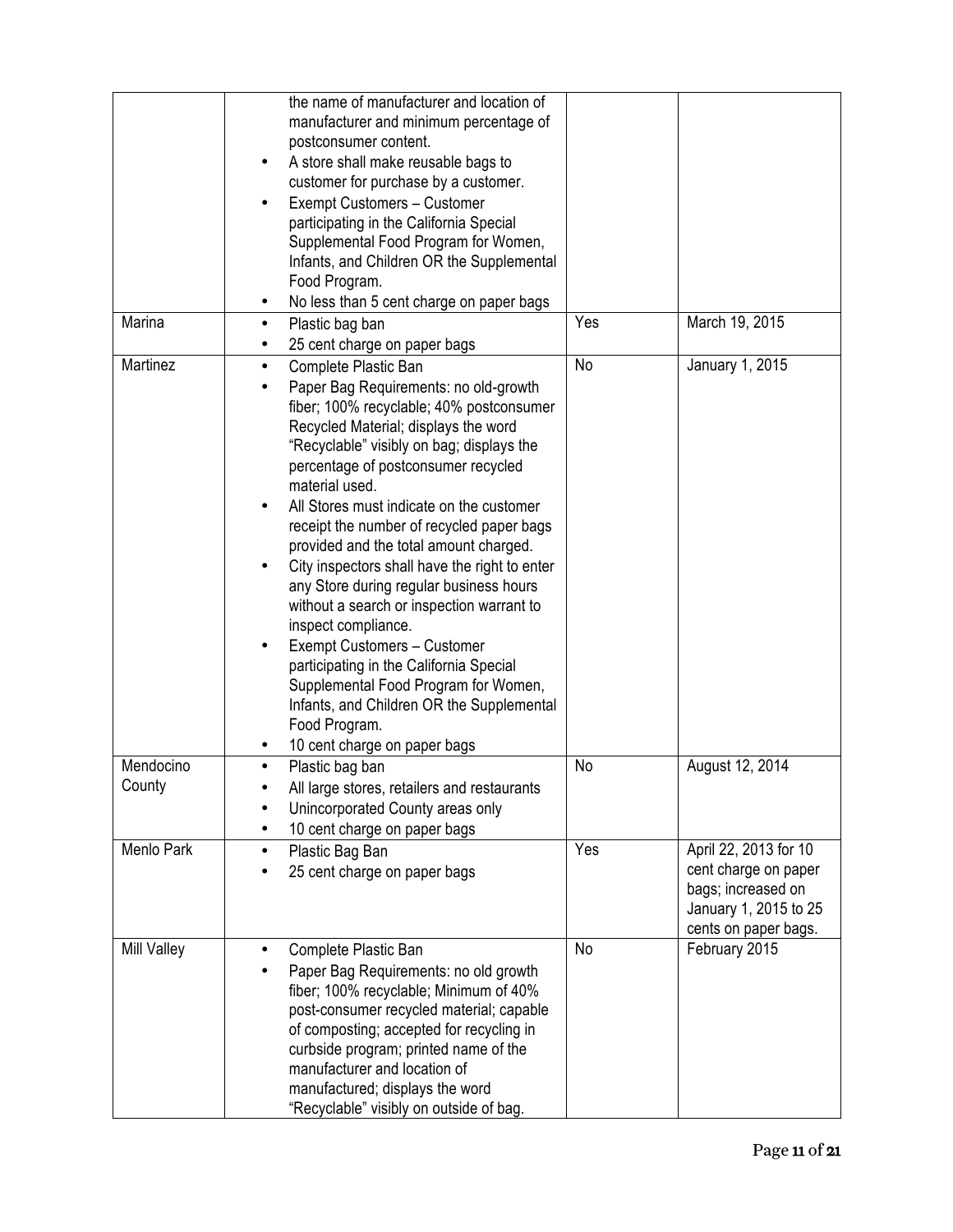|                     | the name of manufacturer and location of<br>manufacturer and minimum percentage of<br>postconsumer content.<br>A store shall make reusable bags to<br>customer for purchase by a customer.<br>Exempt Customers - Customer<br>participating in the California Special<br>Supplemental Food Program for Women,<br>Infants, and Children OR the Supplemental<br>Food Program.<br>No less than 5 cent charge on paper bags<br>$\bullet$                                                                                                                                                                                                                                                                                                                                                     |     |                                                                                                                      |
|---------------------|-----------------------------------------------------------------------------------------------------------------------------------------------------------------------------------------------------------------------------------------------------------------------------------------------------------------------------------------------------------------------------------------------------------------------------------------------------------------------------------------------------------------------------------------------------------------------------------------------------------------------------------------------------------------------------------------------------------------------------------------------------------------------------------------|-----|----------------------------------------------------------------------------------------------------------------------|
| Marina              | Plastic bag ban<br>25 cent charge on paper bags                                                                                                                                                                                                                                                                                                                                                                                                                                                                                                                                                                                                                                                                                                                                         | Yes | March 19, 2015                                                                                                       |
| Martinez            | Complete Plastic Ban<br>$\bullet$<br>Paper Bag Requirements: no old-growth<br>fiber; 100% recyclable; 40% postconsumer<br>Recycled Material; displays the word<br>"Recyclable" visibly on bag; displays the<br>percentage of postconsumer recycled<br>material used.<br>All Stores must indicate on the customer<br>receipt the number of recycled paper bags<br>provided and the total amount charged.<br>City inspectors shall have the right to enter<br>any Store during regular business hours<br>without a search or inspection warrant to<br>inspect compliance.<br>Exempt Customers - Customer<br>participating in the California Special<br>Supplemental Food Program for Women,<br>Infants, and Children OR the Supplemental<br>Food Program.<br>10 cent charge on paper bags | No  | January 1, 2015                                                                                                      |
| Mendocino<br>County | Plastic bag ban<br>All large stores, retailers and restaurants<br>Unincorporated County areas only<br>10 cent charge on paper bags                                                                                                                                                                                                                                                                                                                                                                                                                                                                                                                                                                                                                                                      | No  | August 12, 2014                                                                                                      |
| Menlo Park          | Plastic Bag Ban<br>$\bullet$<br>25 cent charge on paper bags                                                                                                                                                                                                                                                                                                                                                                                                                                                                                                                                                                                                                                                                                                                            | Yes | April 22, 2013 for 10<br>cent charge on paper<br>bags; increased on<br>January 1, 2015 to 25<br>cents on paper bags. |
| <b>Mill Valley</b>  | Complete Plastic Ban<br>Paper Bag Requirements: no old growth<br>fiber; 100% recyclable; Minimum of 40%<br>post-consumer recycled material; capable<br>of composting; accepted for recycling in<br>curbside program; printed name of the<br>manufacturer and location of<br>manufactured; displays the word<br>"Recyclable" visibly on outside of bag.                                                                                                                                                                                                                                                                                                                                                                                                                                  | No  | February 2015                                                                                                        |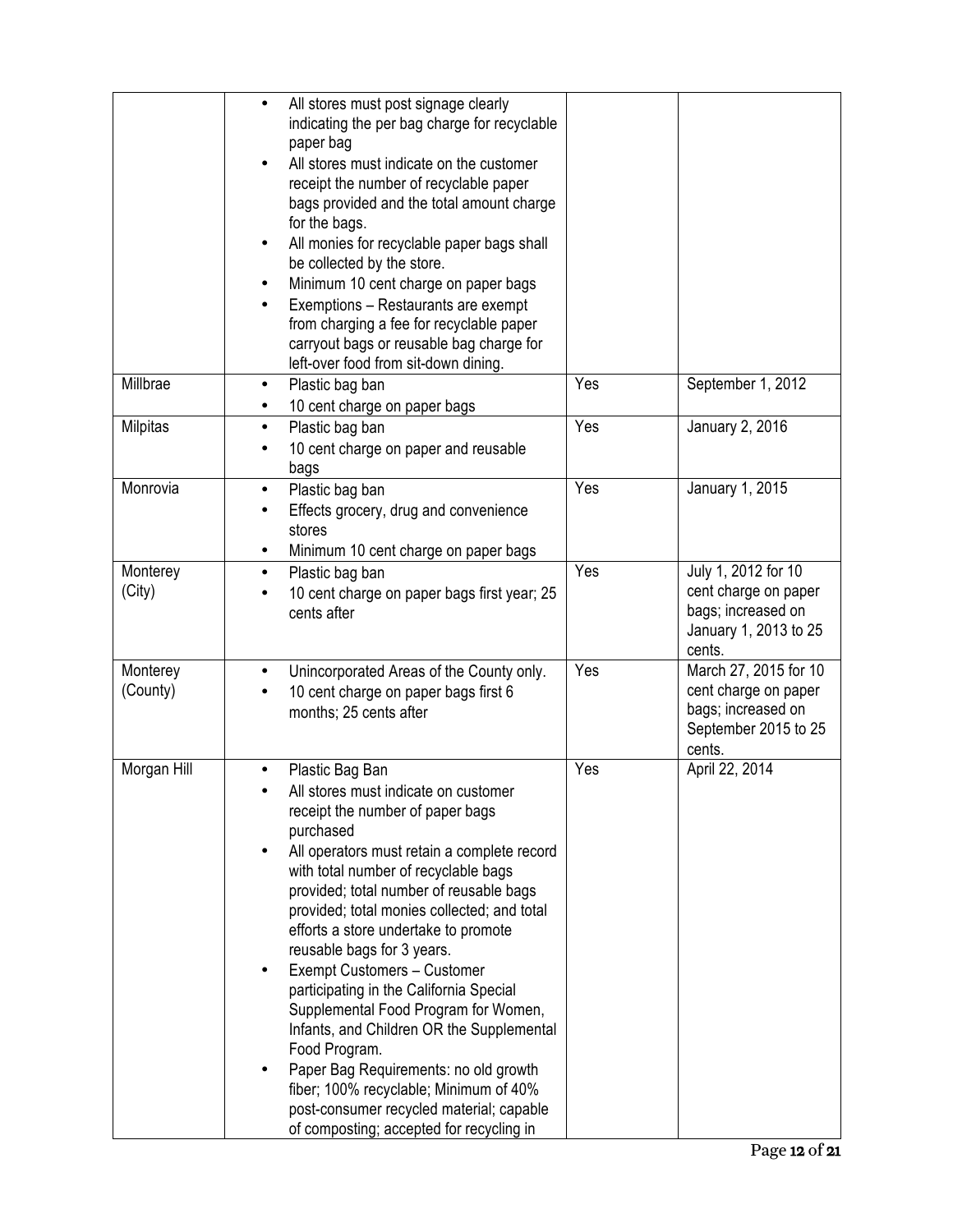|                      | All stores must post signage clearly<br>indicating the per bag charge for recyclable<br>paper bag<br>All stores must indicate on the customer<br>receipt the number of recyclable paper<br>bags provided and the total amount charge<br>for the bags.<br>All monies for recyclable paper bags shall<br>be collected by the store.<br>Minimum 10 cent charge on paper bags<br>Exemptions - Restaurants are exempt<br>from charging a fee for recyclable paper<br>carryout bags or reusable bag charge for<br>left-over food from sit-down dining.                                                                                                                                                                           |     |                                                                                                       |
|----------------------|----------------------------------------------------------------------------------------------------------------------------------------------------------------------------------------------------------------------------------------------------------------------------------------------------------------------------------------------------------------------------------------------------------------------------------------------------------------------------------------------------------------------------------------------------------------------------------------------------------------------------------------------------------------------------------------------------------------------------|-----|-------------------------------------------------------------------------------------------------------|
| Millbrae             | Plastic bag ban<br>$\bullet$<br>10 cent charge on paper bags                                                                                                                                                                                                                                                                                                                                                                                                                                                                                                                                                                                                                                                               | Yes | September 1, 2012                                                                                     |
| Milpitas             | Plastic bag ban<br>10 cent charge on paper and reusable<br>bags                                                                                                                                                                                                                                                                                                                                                                                                                                                                                                                                                                                                                                                            | Yes | January 2, 2016                                                                                       |
| Monrovia             | Plastic bag ban<br>٠<br>Effects grocery, drug and convenience<br>stores<br>Minimum 10 cent charge on paper bags                                                                                                                                                                                                                                                                                                                                                                                                                                                                                                                                                                                                            | Yes | January 1, 2015                                                                                       |
| Monterey<br>(City)   | Plastic bag ban<br>$\bullet$<br>10 cent charge on paper bags first year; 25<br>cents after                                                                                                                                                                                                                                                                                                                                                                                                                                                                                                                                                                                                                                 | Yes | July 1, 2012 for 10<br>cent charge on paper<br>bags; increased on<br>January 1, 2013 to 25<br>cents.  |
| Monterey<br>(County) | Unincorporated Areas of the County only.<br>٠<br>10 cent charge on paper bags first 6<br>months; 25 cents after                                                                                                                                                                                                                                                                                                                                                                                                                                                                                                                                                                                                            | Yes | March 27, 2015 for 10<br>cent charge on paper<br>bags; increased on<br>September 2015 to 25<br>cents. |
| Morgan Hill          | Plastic Bag Ban<br>All stores must indicate on customer<br>receipt the number of paper bags<br>purchased<br>All operators must retain a complete record<br>with total number of recyclable bags<br>provided; total number of reusable bags<br>provided; total monies collected; and total<br>efforts a store undertake to promote<br>reusable bags for 3 years.<br>Exempt Customers - Customer<br>participating in the California Special<br>Supplemental Food Program for Women,<br>Infants, and Children OR the Supplemental<br>Food Program.<br>Paper Bag Requirements: no old growth<br>fiber; 100% recyclable; Minimum of 40%<br>post-consumer recycled material; capable<br>of composting; accepted for recycling in | Yes | April 22, 2014                                                                                        |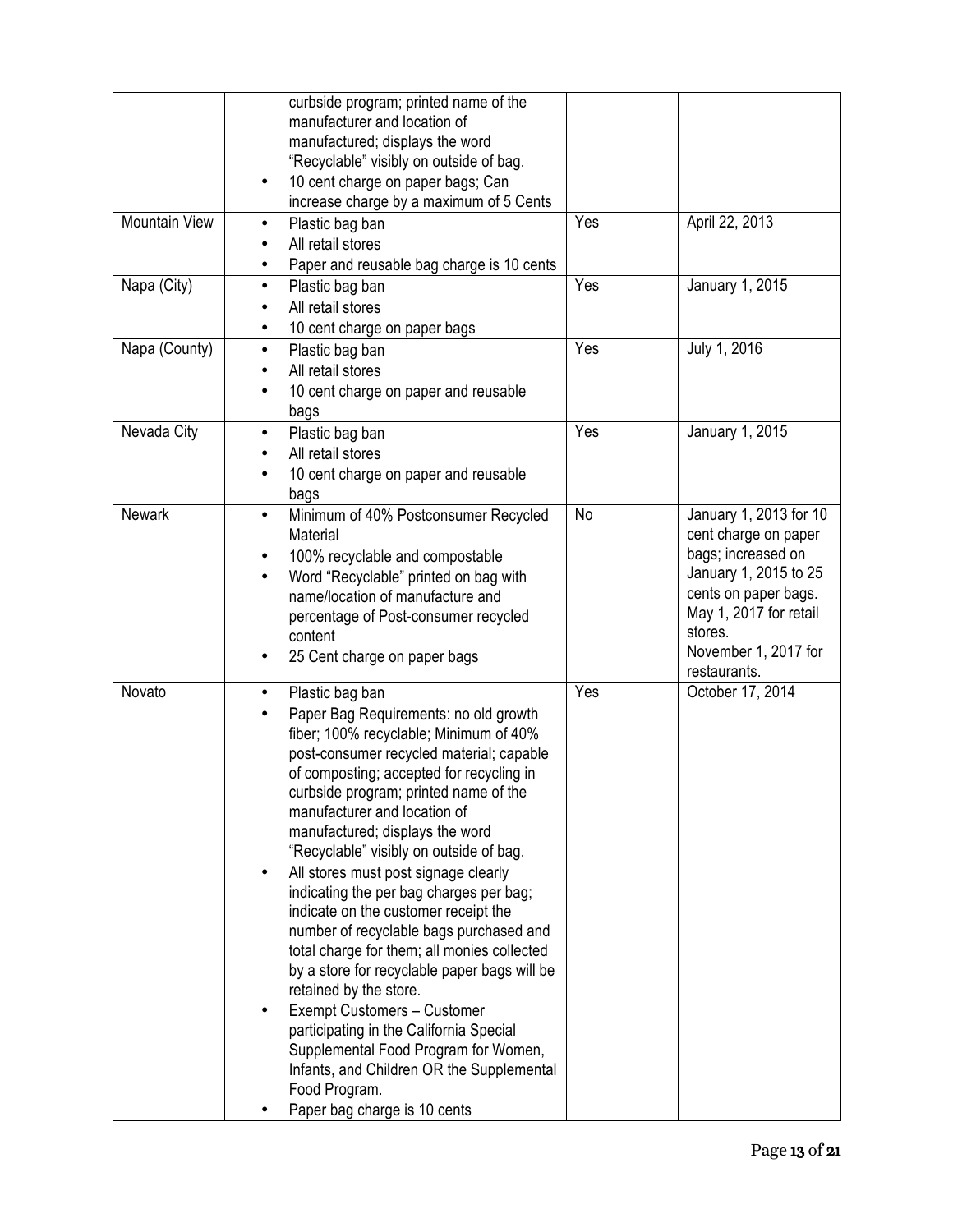| <b>Mountain View</b> | curbside program; printed name of the<br>manufacturer and location of<br>manufactured; displays the word<br>"Recyclable" visibly on outside of bag.<br>10 cent charge on paper bags; Can<br>$\bullet$<br>increase charge by a maximum of 5 Cents<br>Plastic bag ban<br>All retail stores<br>Paper and reusable bag charge is 10 cents                                                                                                                                                                                                                                                                                                                                                                                                                                                                                                                                              | Yes | April 22, 2013                                                                                                                                                                                     |
|----------------------|------------------------------------------------------------------------------------------------------------------------------------------------------------------------------------------------------------------------------------------------------------------------------------------------------------------------------------------------------------------------------------------------------------------------------------------------------------------------------------------------------------------------------------------------------------------------------------------------------------------------------------------------------------------------------------------------------------------------------------------------------------------------------------------------------------------------------------------------------------------------------------|-----|----------------------------------------------------------------------------------------------------------------------------------------------------------------------------------------------------|
| Napa (City)          | Plastic bag ban<br>$\bullet$<br>All retail stores<br>10 cent charge on paper bags<br>٠                                                                                                                                                                                                                                                                                                                                                                                                                                                                                                                                                                                                                                                                                                                                                                                             | Yes | January 1, 2015                                                                                                                                                                                    |
| Napa (County)        | Plastic bag ban<br>$\bullet$<br>All retail stores<br>10 cent charge on paper and reusable<br>bags                                                                                                                                                                                                                                                                                                                                                                                                                                                                                                                                                                                                                                                                                                                                                                                  | Yes | July 1, 2016                                                                                                                                                                                       |
| Nevada City          | Plastic bag ban<br>$\bullet$<br>All retail stores<br>10 cent charge on paper and reusable<br>bags                                                                                                                                                                                                                                                                                                                                                                                                                                                                                                                                                                                                                                                                                                                                                                                  | Yes | January 1, 2015                                                                                                                                                                                    |
| <b>Newark</b>        | Minimum of 40% Postconsumer Recycled<br>$\bullet$<br>Material<br>100% recyclable and compostable<br>Word "Recyclable" printed on bag with<br>name/location of manufacture and<br>percentage of Post-consumer recycled<br>content<br>25 Cent charge on paper bags                                                                                                                                                                                                                                                                                                                                                                                                                                                                                                                                                                                                                   | No  | January 1, 2013 for 10<br>cent charge on paper<br>bags; increased on<br>January 1, 2015 to 25<br>cents on paper bags.<br>May 1, 2017 for retail<br>stores.<br>November 1, 2017 for<br>restaurants. |
| Novato               | Plastic bag ban<br>$\bullet$<br>Paper Bag Requirements: no old growth<br>fiber; 100% recyclable; Minimum of 40%<br>post-consumer recycled material; capable<br>of composting; accepted for recycling in<br>curbside program; printed name of the<br>manufacturer and location of<br>manufactured; displays the word<br>"Recyclable" visibly on outside of bag.<br>All stores must post signage clearly<br>٠<br>indicating the per bag charges per bag;<br>indicate on the customer receipt the<br>number of recyclable bags purchased and<br>total charge for them; all monies collected<br>by a store for recyclable paper bags will be<br>retained by the store.<br>Exempt Customers - Customer<br>participating in the California Special<br>Supplemental Food Program for Women,<br>Infants, and Children OR the Supplemental<br>Food Program.<br>Paper bag charge is 10 cents | Yes | October 17, 2014                                                                                                                                                                                   |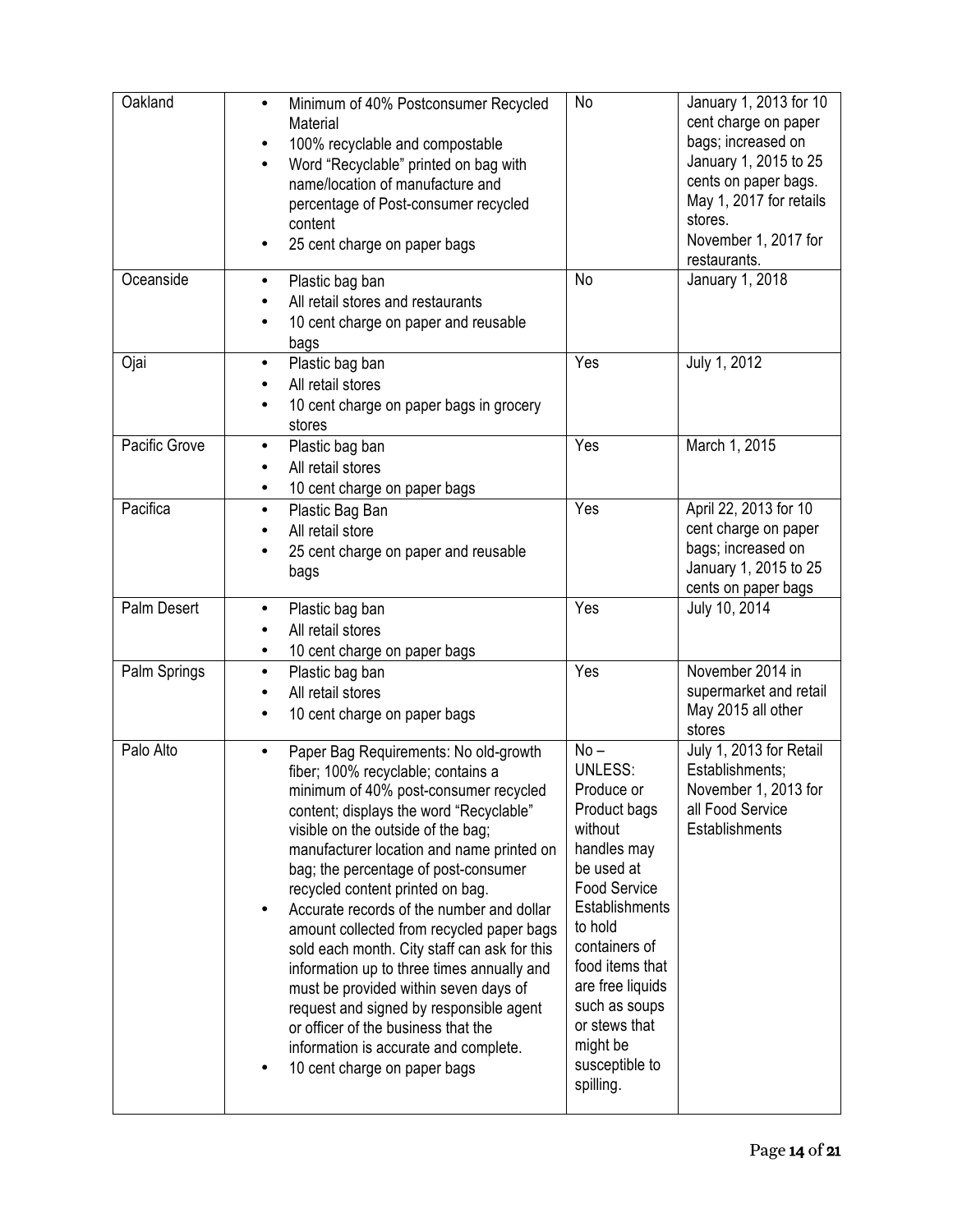| Oakland       | Minimum of 40% Postconsumer Recycled<br>$\bullet$<br>Material<br>100% recyclable and compostable<br>Word "Recyclable" printed on bag with<br>$\bullet$<br>name/location of manufacture and<br>percentage of Post-consumer recycled<br>content<br>25 cent charge on paper bags<br>٠                                                                                                                                                                                                                                                                                                                                                                                                                                                      | No                                                                                                                                                                                                                                                                                      | January 1, 2013 for 10<br>cent charge on paper<br>bags; increased on<br>January 1, 2015 to 25<br>cents on paper bags.<br>May 1, 2017 for retails<br>stores.<br>November 1, 2017 for<br>restaurants. |
|---------------|-----------------------------------------------------------------------------------------------------------------------------------------------------------------------------------------------------------------------------------------------------------------------------------------------------------------------------------------------------------------------------------------------------------------------------------------------------------------------------------------------------------------------------------------------------------------------------------------------------------------------------------------------------------------------------------------------------------------------------------------|-----------------------------------------------------------------------------------------------------------------------------------------------------------------------------------------------------------------------------------------------------------------------------------------|-----------------------------------------------------------------------------------------------------------------------------------------------------------------------------------------------------|
| Oceanside     | Plastic bag ban<br>$\bullet$<br>All retail stores and restaurants<br>10 cent charge on paper and reusable<br>bags                                                                                                                                                                                                                                                                                                                                                                                                                                                                                                                                                                                                                       | No                                                                                                                                                                                                                                                                                      | January 1, 2018                                                                                                                                                                                     |
| Ojai          | Plastic bag ban<br>$\bullet$<br>All retail stores<br>10 cent charge on paper bags in grocery<br>stores                                                                                                                                                                                                                                                                                                                                                                                                                                                                                                                                                                                                                                  | Yes                                                                                                                                                                                                                                                                                     | July 1, 2012                                                                                                                                                                                        |
| Pacific Grove | Plastic bag ban<br>$\bullet$<br>All retail stores<br>10 cent charge on paper bags<br>$\bullet$                                                                                                                                                                                                                                                                                                                                                                                                                                                                                                                                                                                                                                          | Yes                                                                                                                                                                                                                                                                                     | March 1, 2015                                                                                                                                                                                       |
| Pacifica      | Plastic Bag Ban<br>$\bullet$<br>All retail store<br>25 cent charge on paper and reusable<br>bags                                                                                                                                                                                                                                                                                                                                                                                                                                                                                                                                                                                                                                        | Yes                                                                                                                                                                                                                                                                                     | April 22, 2013 for 10<br>cent charge on paper<br>bags; increased on<br>January 1, 2015 to 25<br>cents on paper bags                                                                                 |
| Palm Desert   | Plastic bag ban<br>$\bullet$<br>All retail stores<br>10 cent charge on paper bags                                                                                                                                                                                                                                                                                                                                                                                                                                                                                                                                                                                                                                                       | Yes                                                                                                                                                                                                                                                                                     | July 10, 2014                                                                                                                                                                                       |
| Palm Springs  | Plastic bag ban<br>$\bullet$<br>All retail stores<br>10 cent charge on paper bags                                                                                                                                                                                                                                                                                                                                                                                                                                                                                                                                                                                                                                                       | Yes                                                                                                                                                                                                                                                                                     | November 2014 in<br>supermarket and retail<br>May 2015 all other<br>stores                                                                                                                          |
| Palo Alto     | Paper Bag Requirements: No old-growth<br>fiber; 100% recyclable; contains a<br>minimum of 40% post-consumer recycled<br>content; displays the word "Recyclable"<br>visible on the outside of the bag;<br>manufacturer location and name printed on<br>bag; the percentage of post-consumer<br>recycled content printed on bag.<br>Accurate records of the number and dollar<br>$\bullet$<br>amount collected from recycled paper bags<br>sold each month. City staff can ask for this<br>information up to three times annually and<br>must be provided within seven days of<br>request and signed by responsible agent<br>or officer of the business that the<br>information is accurate and complete.<br>10 cent charge on paper bags | $No -$<br><b>UNLESS:</b><br>Produce or<br>Product bags<br>without<br>handles may<br>be used at<br><b>Food Service</b><br>Establishments<br>to hold<br>containers of<br>food items that<br>are free liquids<br>such as soups<br>or stews that<br>might be<br>susceptible to<br>spilling. | July 1, 2013 for Retail<br>Establishments;<br>November 1, 2013 for<br>all Food Service<br>Establishments                                                                                            |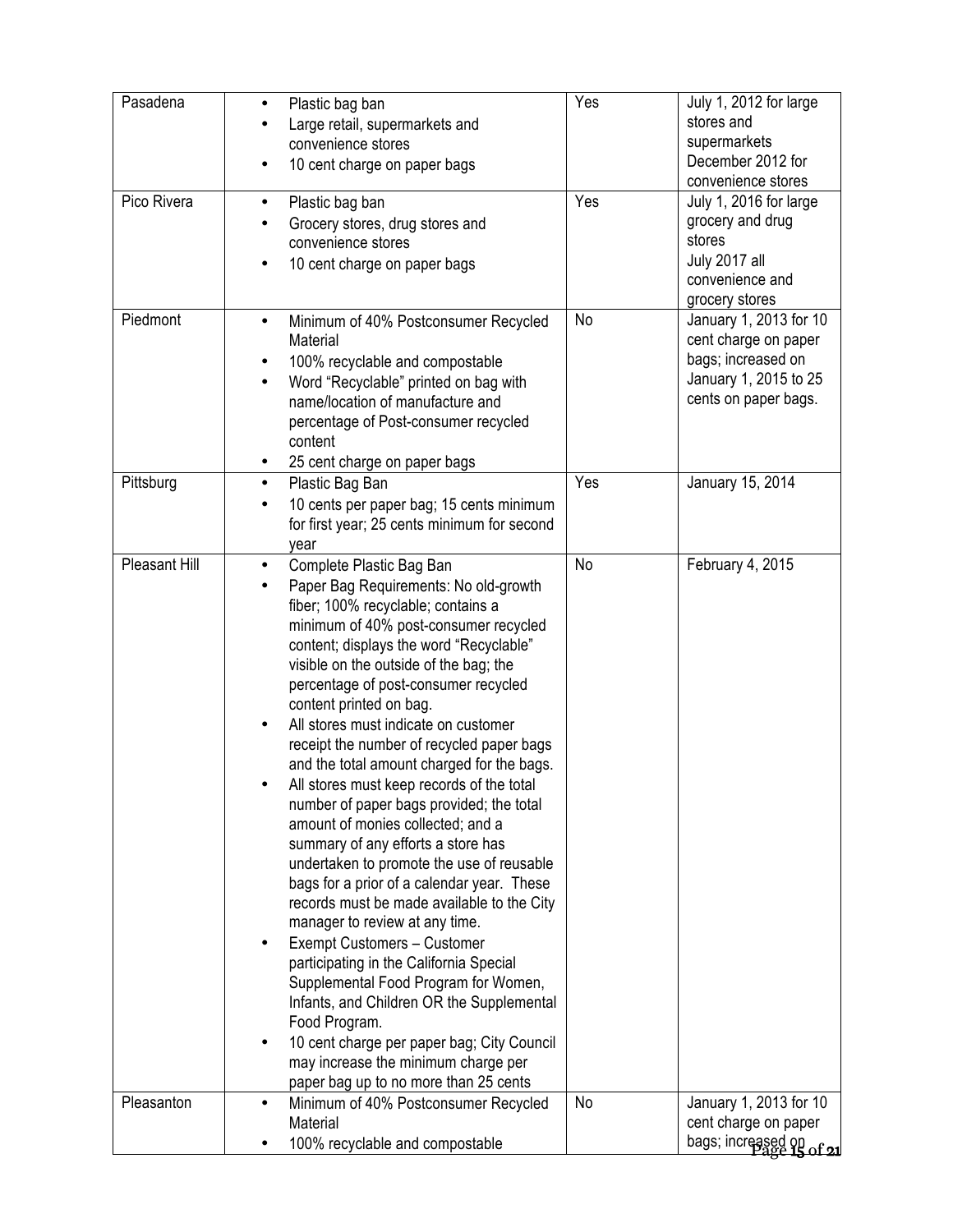| Pasadena      | Plastic bag ban<br>٠                                                                   | Yes       | July 1, 2012 for large   |
|---------------|----------------------------------------------------------------------------------------|-----------|--------------------------|
|               | Large retail, supermarkets and                                                         |           | stores and               |
|               | convenience stores                                                                     |           | supermarkets             |
|               | 10 cent charge on paper bags                                                           |           | December 2012 for        |
|               |                                                                                        |           | convenience stores       |
| Pico Rivera   | Plastic bag ban<br>٠                                                                   | Yes       | July 1, 2016 for large   |
|               | Grocery stores, drug stores and                                                        |           | grocery and drug         |
|               | convenience stores                                                                     |           | stores                   |
|               | 10 cent charge on paper bags<br>$\bullet$                                              |           | July 2017 all            |
|               |                                                                                        |           | convenience and          |
|               |                                                                                        |           | grocery stores           |
| Piedmont      | Minimum of 40% Postconsumer Recycled<br>$\bullet$                                      | No        | January 1, 2013 for 10   |
|               | Material                                                                               |           | cent charge on paper     |
|               | 100% recyclable and compostable<br>٠                                                   |           | bags; increased on       |
|               | Word "Recyclable" printed on bag with<br>$\bullet$                                     |           | January 1, 2015 to 25    |
|               | name/location of manufacture and                                                       |           | cents on paper bags.     |
|               | percentage of Post-consumer recycled                                                   |           |                          |
|               | content                                                                                |           |                          |
| Pittsburg     | 25 cent charge on paper bags<br>٠                                                      | Yes       | January 15, 2014         |
|               | Plastic Bag Ban<br>$\bullet$                                                           |           |                          |
|               | 10 cents per paper bag; 15 cents minimum<br>٠                                          |           |                          |
|               | for first year; 25 cents minimum for second                                            |           |                          |
| Pleasant Hill | year<br>٠                                                                              | <b>No</b> | February 4, 2015         |
|               | Complete Plastic Bag Ban                                                               |           |                          |
|               | Paper Bag Requirements: No old-growth<br>fiber; 100% recyclable; contains a            |           |                          |
|               | minimum of 40% post-consumer recycled                                                  |           |                          |
|               | content; displays the word "Recyclable"                                                |           |                          |
|               | visible on the outside of the bag; the                                                 |           |                          |
|               | percentage of post-consumer recycled                                                   |           |                          |
|               | content printed on bag.                                                                |           |                          |
|               | All stores must indicate on customer                                                   |           |                          |
|               | receipt the number of recycled paper bags                                              |           |                          |
|               | and the total amount charged for the bags.                                             |           |                          |
|               | All stores must keep records of the total                                              |           |                          |
|               | number of paper bags provided; the total                                               |           |                          |
|               | amount of monies collected; and a                                                      |           |                          |
|               | summary of any efforts a store has                                                     |           |                          |
|               | undertaken to promote the use of reusable                                              |           |                          |
|               | bags for a prior of a calendar year. These                                             |           |                          |
|               | records must be made available to the City                                             |           |                          |
|               | manager to review at any time.                                                         |           |                          |
|               | Exempt Customers - Customer                                                            |           |                          |
|               | participating in the California Special                                                |           |                          |
|               | Supplemental Food Program for Women,                                                   |           |                          |
|               | Infants, and Children OR the Supplemental                                              |           |                          |
|               | Food Program.                                                                          |           |                          |
|               | 10 cent charge per paper bag; City Council<br>٠<br>may increase the minimum charge per |           |                          |
|               | paper bag up to no more than 25 cents                                                  |           |                          |
| Pleasanton    | Minimum of 40% Postconsumer Recycled<br>٠                                              | No        | January 1, 2013 for 10   |
|               | Material                                                                               |           | cent charge on paper     |
|               | 100% recyclable and compostable                                                        |           | bags; increased on of 21 |
|               |                                                                                        |           |                          |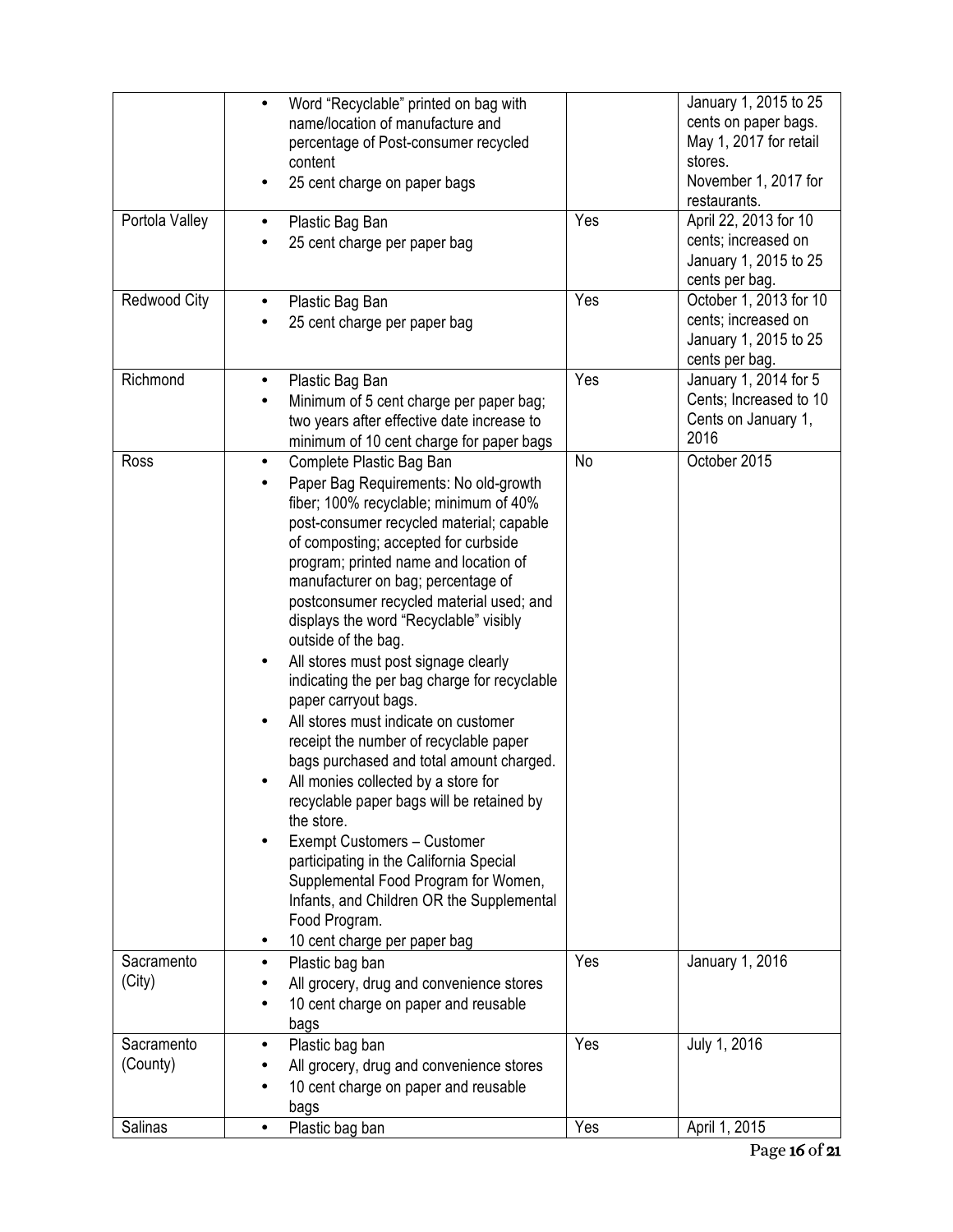|                        | Word "Recyclable" printed on bag with<br>name/location of manufacture and<br>percentage of Post-consumer recycled<br>content<br>25 cent charge on paper bags                                                                                                                                                                                                                                                                                                                                                                                                                                                                                                                                                                                                                                                                                                                                                                                                                          |     | January 1, 2015 to 25<br>cents on paper bags.<br>May 1, 2017 for retail<br>stores.<br>November 1, 2017 for<br>restaurants. |
|------------------------|---------------------------------------------------------------------------------------------------------------------------------------------------------------------------------------------------------------------------------------------------------------------------------------------------------------------------------------------------------------------------------------------------------------------------------------------------------------------------------------------------------------------------------------------------------------------------------------------------------------------------------------------------------------------------------------------------------------------------------------------------------------------------------------------------------------------------------------------------------------------------------------------------------------------------------------------------------------------------------------|-----|----------------------------------------------------------------------------------------------------------------------------|
| Portola Valley         | Plastic Bag Ban<br>25 cent charge per paper bag                                                                                                                                                                                                                                                                                                                                                                                                                                                                                                                                                                                                                                                                                                                                                                                                                                                                                                                                       | Yes | April 22, 2013 for 10<br>cents; increased on<br>January 1, 2015 to 25<br>cents per bag.                                    |
| Redwood City           | Plastic Bag Ban<br>25 cent charge per paper bag                                                                                                                                                                                                                                                                                                                                                                                                                                                                                                                                                                                                                                                                                                                                                                                                                                                                                                                                       | Yes | October 1, 2013 for 10<br>cents; increased on<br>January 1, 2015 to 25<br>cents per bag.                                   |
| Richmond               | Plastic Bag Ban<br>٠<br>Minimum of 5 cent charge per paper bag;<br>two years after effective date increase to<br>minimum of 10 cent charge for paper bags                                                                                                                                                                                                                                                                                                                                                                                                                                                                                                                                                                                                                                                                                                                                                                                                                             | Yes | January 1, 2014 for 5<br>Cents; Increased to 10<br>Cents on January 1,<br>2016                                             |
| Ross                   | Complete Plastic Bag Ban<br>$\bullet$<br>Paper Bag Requirements: No old-growth<br>fiber; 100% recyclable; minimum of 40%<br>post-consumer recycled material; capable<br>of composting; accepted for curbside<br>program; printed name and location of<br>manufacturer on bag; percentage of<br>postconsumer recycled material used; and<br>displays the word "Recyclable" visibly<br>outside of the bag.<br>All stores must post signage clearly<br>indicating the per bag charge for recyclable<br>paper carryout bags.<br>All stores must indicate on customer<br>receipt the number of recyclable paper<br>bags purchased and total amount charged.<br>All monies collected by a store for<br>recyclable paper bags will be retained by<br>the store.<br>Exempt Customers - Customer<br>$\bullet$<br>participating in the California Special<br>Supplemental Food Program for Women,<br>Infants, and Children OR the Supplemental<br>Food Program.<br>10 cent charge per paper bag | No  | October 2015                                                                                                               |
| Sacramento<br>(City)   | Plastic bag ban<br>$\bullet$<br>All grocery, drug and convenience stores<br>10 cent charge on paper and reusable<br>bags                                                                                                                                                                                                                                                                                                                                                                                                                                                                                                                                                                                                                                                                                                                                                                                                                                                              | Yes | January 1, 2016                                                                                                            |
| Sacramento<br>(County) | Plastic bag ban<br>All grocery, drug and convenience stores<br>10 cent charge on paper and reusable<br>bags                                                                                                                                                                                                                                                                                                                                                                                                                                                                                                                                                                                                                                                                                                                                                                                                                                                                           | Yes | July 1, 2016                                                                                                               |
| Salinas                | Plastic bag ban                                                                                                                                                                                                                                                                                                                                                                                                                                                                                                                                                                                                                                                                                                                                                                                                                                                                                                                                                                       | Yes | April 1, 2015                                                                                                              |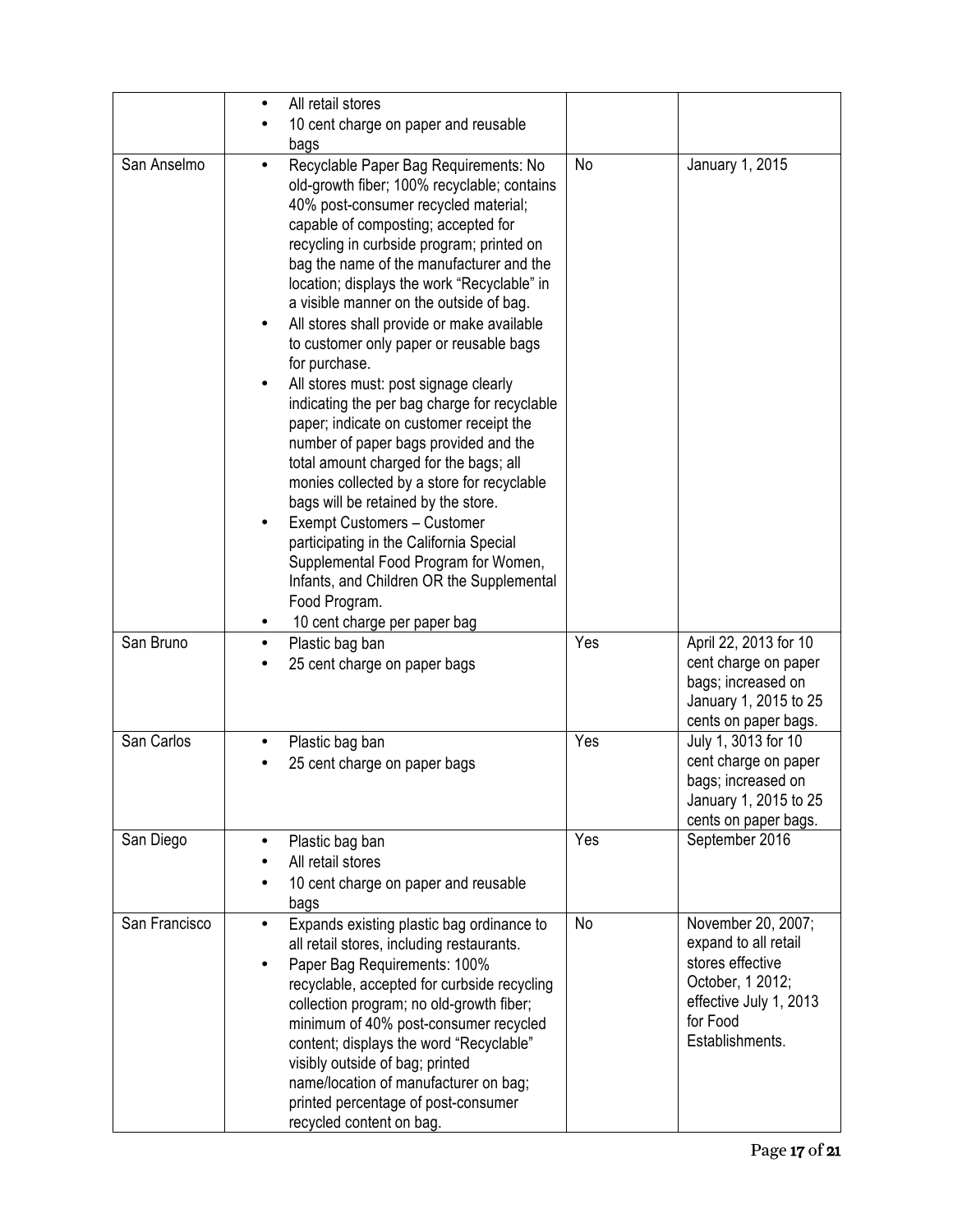|               | All retail stores<br>$\bullet$<br>10 cent charge on paper and reusable                                                                                                                                                                                                                                                                                                                                                                                                                                                                                                                                                                                                                                                                                                                                                                                                                                                                                                                                            |     |                                                                                                                                             |
|---------------|-------------------------------------------------------------------------------------------------------------------------------------------------------------------------------------------------------------------------------------------------------------------------------------------------------------------------------------------------------------------------------------------------------------------------------------------------------------------------------------------------------------------------------------------------------------------------------------------------------------------------------------------------------------------------------------------------------------------------------------------------------------------------------------------------------------------------------------------------------------------------------------------------------------------------------------------------------------------------------------------------------------------|-----|---------------------------------------------------------------------------------------------------------------------------------------------|
| San Anselmo   | bags<br>Recyclable Paper Bag Requirements: No<br>old-growth fiber; 100% recyclable; contains<br>40% post-consumer recycled material;<br>capable of composting; accepted for<br>recycling in curbside program; printed on<br>bag the name of the manufacturer and the<br>location; displays the work "Recyclable" in<br>a visible manner on the outside of bag.<br>All stores shall provide or make available<br>to customer only paper or reusable bags<br>for purchase.<br>All stores must: post signage clearly<br>$\bullet$<br>indicating the per bag charge for recyclable<br>paper; indicate on customer receipt the<br>number of paper bags provided and the<br>total amount charged for the bags; all<br>monies collected by a store for recyclable<br>bags will be retained by the store.<br>Exempt Customers - Customer<br>participating in the California Special<br>Supplemental Food Program for Women,<br>Infants, and Children OR the Supplemental<br>Food Program.<br>10 cent charge per paper bag | No  | January 1, 2015                                                                                                                             |
| San Bruno     | Plastic bag ban<br>$\bullet$<br>25 cent charge on paper bags                                                                                                                                                                                                                                                                                                                                                                                                                                                                                                                                                                                                                                                                                                                                                                                                                                                                                                                                                      | Yes | April 22, 2013 for 10<br>cent charge on paper<br>bags; increased on<br>January 1, 2015 to 25<br>cents on paper bags.                        |
| San Carlos    | Plastic bag ban<br>25 cent charge on paper bags                                                                                                                                                                                                                                                                                                                                                                                                                                                                                                                                                                                                                                                                                                                                                                                                                                                                                                                                                                   | Yes | July 1, 3013 for 10<br>cent charge on paper<br>bags; increased on<br>January 1, 2015 to 25<br>cents on paper bags.                          |
| San Diego     | Plastic bag ban<br>$\bullet$<br>All retail stores<br>10 cent charge on paper and reusable<br>bags                                                                                                                                                                                                                                                                                                                                                                                                                                                                                                                                                                                                                                                                                                                                                                                                                                                                                                                 | Yes | September 2016                                                                                                                              |
| San Francisco | Expands existing plastic bag ordinance to<br>$\bullet$<br>all retail stores, including restaurants.<br>Paper Bag Requirements: 100%<br>$\bullet$<br>recyclable, accepted for curbside recycling<br>collection program; no old-growth fiber;<br>minimum of 40% post-consumer recycled<br>content; displays the word "Recyclable"<br>visibly outside of bag; printed<br>name/location of manufacturer on bag;<br>printed percentage of post-consumer<br>recycled content on bag.                                                                                                                                                                                                                                                                                                                                                                                                                                                                                                                                    | No  | November 20, 2007;<br>expand to all retail<br>stores effective<br>October, 1 2012;<br>effective July 1, 2013<br>for Food<br>Establishments. |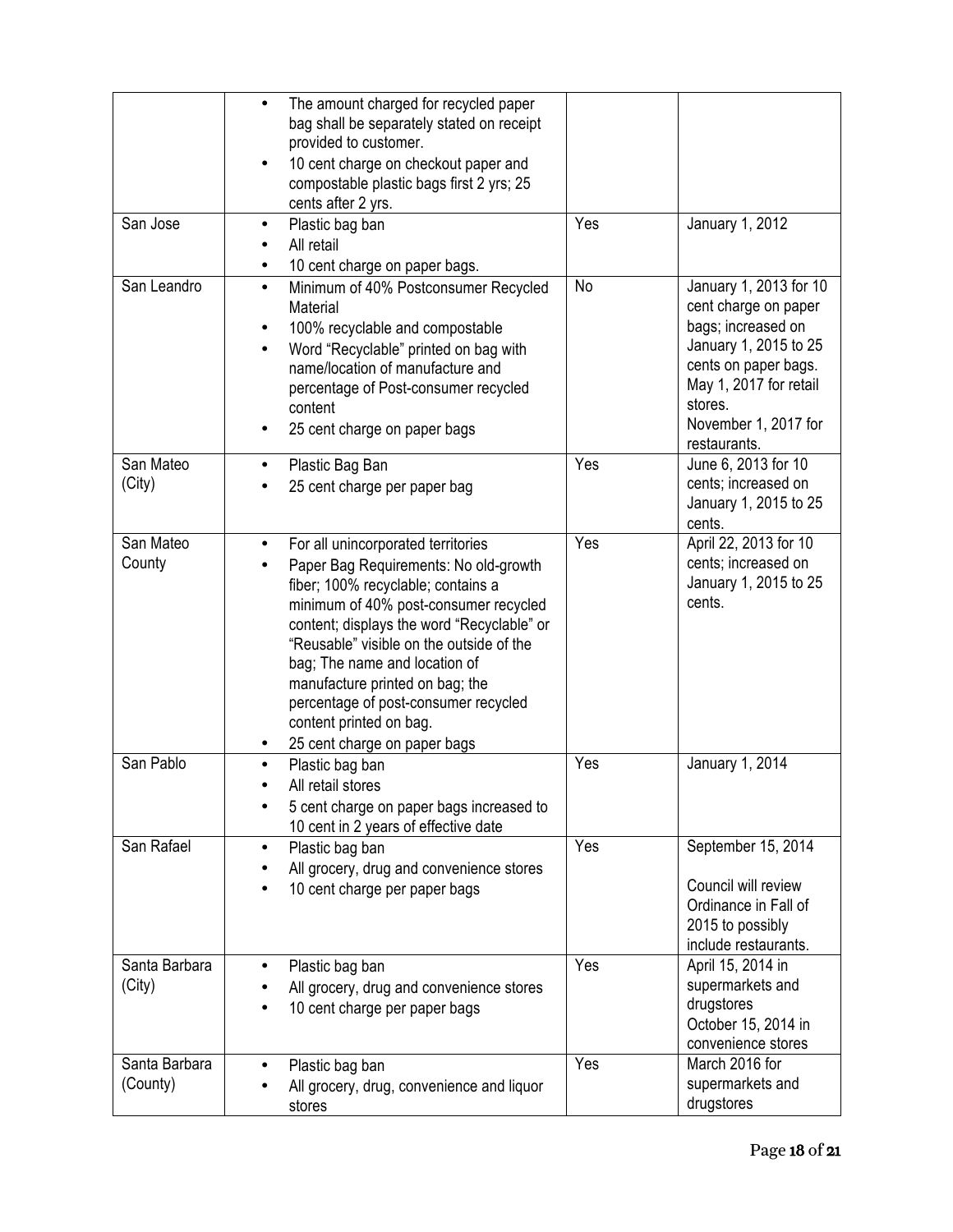| San Jose                  | The amount charged for recycled paper<br>bag shall be separately stated on receipt<br>provided to customer.<br>10 cent charge on checkout paper and<br>compostable plastic bags first 2 yrs; 25<br>cents after 2 yrs.<br>Plastic bag ban<br>$\bullet$                                                                                                                                                                                    | Yes | January 1, 2012                                                                                                                                                                                    |
|---------------------------|------------------------------------------------------------------------------------------------------------------------------------------------------------------------------------------------------------------------------------------------------------------------------------------------------------------------------------------------------------------------------------------------------------------------------------------|-----|----------------------------------------------------------------------------------------------------------------------------------------------------------------------------------------------------|
|                           | All retail<br>10 cent charge on paper bags.                                                                                                                                                                                                                                                                                                                                                                                              |     |                                                                                                                                                                                                    |
| San Leandro               | Minimum of 40% Postconsumer Recycled<br>$\bullet$<br>Material<br>100% recyclable and compostable<br>٠<br>Word "Recyclable" printed on bag with<br>name/location of manufacture and<br>percentage of Post-consumer recycled<br>content<br>25 cent charge on paper bags                                                                                                                                                                    | No  | January 1, 2013 for 10<br>cent charge on paper<br>bags; increased on<br>January 1, 2015 to 25<br>cents on paper bags.<br>May 1, 2017 for retail<br>stores.<br>November 1, 2017 for<br>restaurants. |
| San Mateo<br>(City)       | Plastic Bag Ban<br>25 cent charge per paper bag                                                                                                                                                                                                                                                                                                                                                                                          | Yes | June 6, 2013 for 10<br>cents; increased on<br>January 1, 2015 to 25<br>cents.                                                                                                                      |
| San Mateo<br>County       | For all unincorporated territories<br>$\bullet$<br>Paper Bag Requirements: No old-growth<br>fiber; 100% recyclable; contains a<br>minimum of 40% post-consumer recycled<br>content; displays the word "Recyclable" or<br>"Reusable" visible on the outside of the<br>bag; The name and location of<br>manufacture printed on bag; the<br>percentage of post-consumer recycled<br>content printed on bag.<br>25 cent charge on paper bags | Yes | April 22, 2013 for 10<br>cents; increased on<br>January 1, 2015 to 25<br>cents.                                                                                                                    |
| San Pablo                 | Plastic bag ban<br>All retail stores<br>5 cent charge on paper bags increased to<br>10 cent in 2 years of effective date                                                                                                                                                                                                                                                                                                                 | Yes | January 1, 2014                                                                                                                                                                                    |
| San Rafael                | Plastic bag ban<br>All grocery, drug and convenience stores<br>10 cent charge per paper bags                                                                                                                                                                                                                                                                                                                                             | Yes | September 15, 2014<br>Council will review<br>Ordinance in Fall of<br>2015 to possibly<br>include restaurants.                                                                                      |
| Santa Barbara<br>(City)   | Plastic bag ban<br>$\bullet$<br>All grocery, drug and convenience stores<br>10 cent charge per paper bags                                                                                                                                                                                                                                                                                                                                | Yes | April 15, 2014 in<br>supermarkets and<br>drugstores<br>October 15, 2014 in<br>convenience stores                                                                                                   |
| Santa Barbara<br>(County) | Plastic bag ban<br>All grocery, drug, convenience and liquor<br>stores                                                                                                                                                                                                                                                                                                                                                                   | Yes | March 2016 for<br>supermarkets and<br>drugstores                                                                                                                                                   |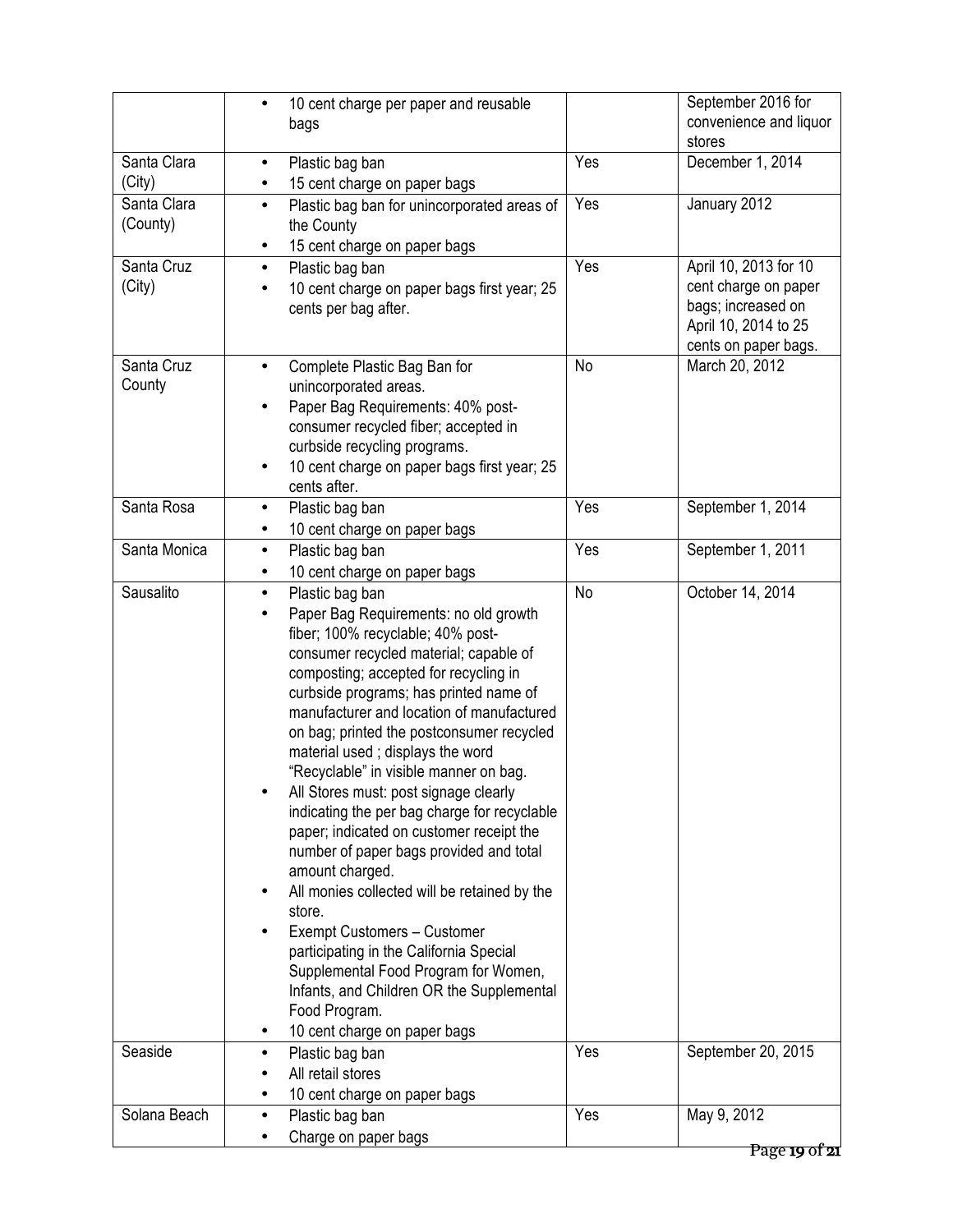|                       | 10 cent charge per paper and reusable<br>bags                                           |           | September 2016 for<br>convenience and liquor |
|-----------------------|-----------------------------------------------------------------------------------------|-----------|----------------------------------------------|
|                       |                                                                                         |           | stores                                       |
| Santa Clara<br>(City) | Plastic bag ban<br>$\bullet$<br>15 cent charge on paper bags<br>$\bullet$               | Yes       | December 1, 2014                             |
| Santa Clara           | Plastic bag ban for unincorporated areas of<br>$\bullet$                                | Yes       | January 2012                                 |
| (County)              | the County                                                                              |           |                                              |
| Santa Cruz            | 15 cent charge on paper bags<br>$\bullet$<br>Plastic bag ban<br>$\bullet$               | Yes       | April 10, 2013 for 10                        |
| (City)                | 10 cent charge on paper bags first year; 25                                             |           | cent charge on paper                         |
|                       | cents per bag after.                                                                    |           | bags; increased on                           |
|                       |                                                                                         |           | April 10, 2014 to 25                         |
| Santa Cruz            | $\bullet$                                                                               | No        | cents on paper bags.<br>March 20, 2012       |
| County                | Complete Plastic Bag Ban for<br>unincorporated areas.                                   |           |                                              |
|                       | Paper Bag Requirements: 40% post-<br>$\bullet$                                          |           |                                              |
|                       | consumer recycled fiber; accepted in                                                    |           |                                              |
|                       | curbside recycling programs.                                                            |           |                                              |
|                       | 10 cent charge on paper bags first year; 25<br>٠<br>cents after.                        |           |                                              |
| Santa Rosa            | Plastic bag ban<br>$\bullet$                                                            | Yes       | September 1, 2014                            |
|                       | 10 cent charge on paper bags<br>$\bullet$                                               |           |                                              |
| Santa Monica          | Plastic bag ban<br>$\bullet$                                                            | Yes       | September 1, 2011                            |
|                       | 10 cent charge on paper bags                                                            |           |                                              |
| Sausalito             | Plastic bag ban<br>$\bullet$                                                            | <b>No</b> | October 14, 2014                             |
|                       | Paper Bag Requirements: no old growth<br>$\bullet$<br>fiber; 100% recyclable; 40% post- |           |                                              |
|                       | consumer recycled material; capable of                                                  |           |                                              |
|                       | composting; accepted for recycling in                                                   |           |                                              |
|                       | curbside programs; has printed name of                                                  |           |                                              |
|                       | manufacturer and location of manufactured                                               |           |                                              |
|                       | on bag; printed the postconsumer recycled                                               |           |                                              |
|                       | material used; displays the word<br>"Recyclable" in visible manner on bag.              |           |                                              |
|                       | All Stores must: post signage clearly                                                   |           |                                              |
|                       | indicating the per bag charge for recyclable                                            |           |                                              |
|                       | paper; indicated on customer receipt the                                                |           |                                              |
|                       | number of paper bags provided and total                                                 |           |                                              |
|                       | amount charged.<br>All monies collected will be retained by the                         |           |                                              |
|                       | store.                                                                                  |           |                                              |
|                       | Exempt Customers - Customer                                                             |           |                                              |
|                       | participating in the California Special                                                 |           |                                              |
|                       | Supplemental Food Program for Women,                                                    |           |                                              |
|                       | Infants, and Children OR the Supplemental<br>Food Program.                              |           |                                              |
|                       | 10 cent charge on paper bags                                                            |           |                                              |
| Seaside               | Plastic bag ban<br>$\bullet$                                                            | Yes       | September 20, 2015                           |
|                       | All retail stores                                                                       |           |                                              |
|                       | 10 cent charge on paper bags                                                            |           |                                              |
| Solana Beach          | Plastic bag ban<br>$\bullet$                                                            | Yes       | May 9, 2012                                  |
|                       | Charge on paper bags                                                                    |           | Page 19 of 21                                |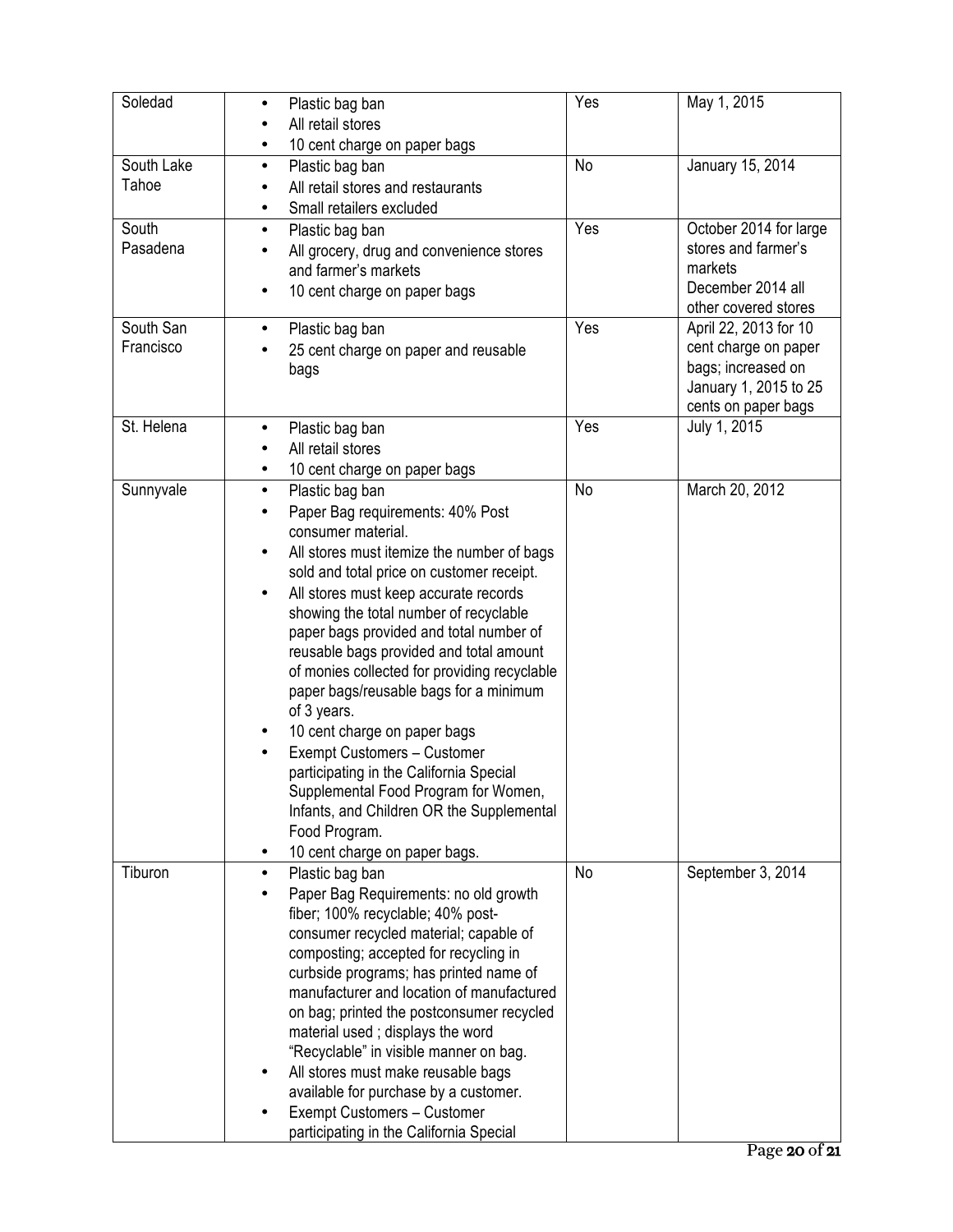| Soledad                | Plastic bag ban<br>$\bullet$<br>All retail stores<br>10 cent charge on paper bags                                                                                                                                                                                                                                                                                                                                                                                                                                                                                                                                                                                                                                                                           | Yes            | May 1, 2015                                                                                                         |
|------------------------|-------------------------------------------------------------------------------------------------------------------------------------------------------------------------------------------------------------------------------------------------------------------------------------------------------------------------------------------------------------------------------------------------------------------------------------------------------------------------------------------------------------------------------------------------------------------------------------------------------------------------------------------------------------------------------------------------------------------------------------------------------------|----------------|---------------------------------------------------------------------------------------------------------------------|
| South Lake<br>Tahoe    | Plastic bag ban<br>$\bullet$<br>All retail stores and restaurants<br>Small retailers excluded<br>$\bullet$                                                                                                                                                                                                                                                                                                                                                                                                                                                                                                                                                                                                                                                  | N <sub>o</sub> | January 15, 2014                                                                                                    |
| South<br>Pasadena      | Plastic bag ban<br>$\bullet$<br>All grocery, drug and convenience stores<br>and farmer's markets<br>10 cent charge on paper bags<br>$\bullet$                                                                                                                                                                                                                                                                                                                                                                                                                                                                                                                                                                                                               | Yes            | October 2014 for large<br>stores and farmer's<br>markets<br>December 2014 all<br>other covered stores               |
| South San<br>Francisco | Plastic bag ban<br>$\bullet$<br>25 cent charge on paper and reusable<br>bags                                                                                                                                                                                                                                                                                                                                                                                                                                                                                                                                                                                                                                                                                | Yes            | April 22, 2013 for 10<br>cent charge on paper<br>bags; increased on<br>January 1, 2015 to 25<br>cents on paper bags |
| St. Helena             | Plastic bag ban<br>٠<br>All retail stores<br>10 cent charge on paper bags<br>٠                                                                                                                                                                                                                                                                                                                                                                                                                                                                                                                                                                                                                                                                              | Yes            | July 1, 2015                                                                                                        |
| Sunnyvale              | Plastic bag ban<br>$\bullet$<br>Paper Bag requirements: 40% Post<br>consumer material.<br>All stores must itemize the number of bags<br>$\bullet$<br>sold and total price on customer receipt.<br>All stores must keep accurate records<br>$\bullet$<br>showing the total number of recyclable<br>paper bags provided and total number of<br>reusable bags provided and total amount<br>of monies collected for providing recyclable<br>paper bags/reusable bags for a minimum<br>of 3 years.<br>10 cent charge on paper bags<br>Exempt Customers - Customer<br>participating in the California Special<br>Supplemental Food Program for Women,<br>Infants, and Children OR the Supplemental<br>Food Program.<br>10 cent charge on paper bags.<br>$\bullet$ | <b>No</b>      | March 20, 2012                                                                                                      |
| Tiburon                | Plastic bag ban<br>$\bullet$<br>Paper Bag Requirements: no old growth<br>fiber; 100% recyclable; 40% post-<br>consumer recycled material; capable of<br>composting; accepted for recycling in<br>curbside programs; has printed name of<br>manufacturer and location of manufactured<br>on bag; printed the postconsumer recycled<br>material used; displays the word<br>"Recyclable" in visible manner on bag.<br>All stores must make reusable bags<br>available for purchase by a customer.<br>Exempt Customers - Customer<br>participating in the California Special                                                                                                                                                                                    | No             | September 3, 2014                                                                                                   |